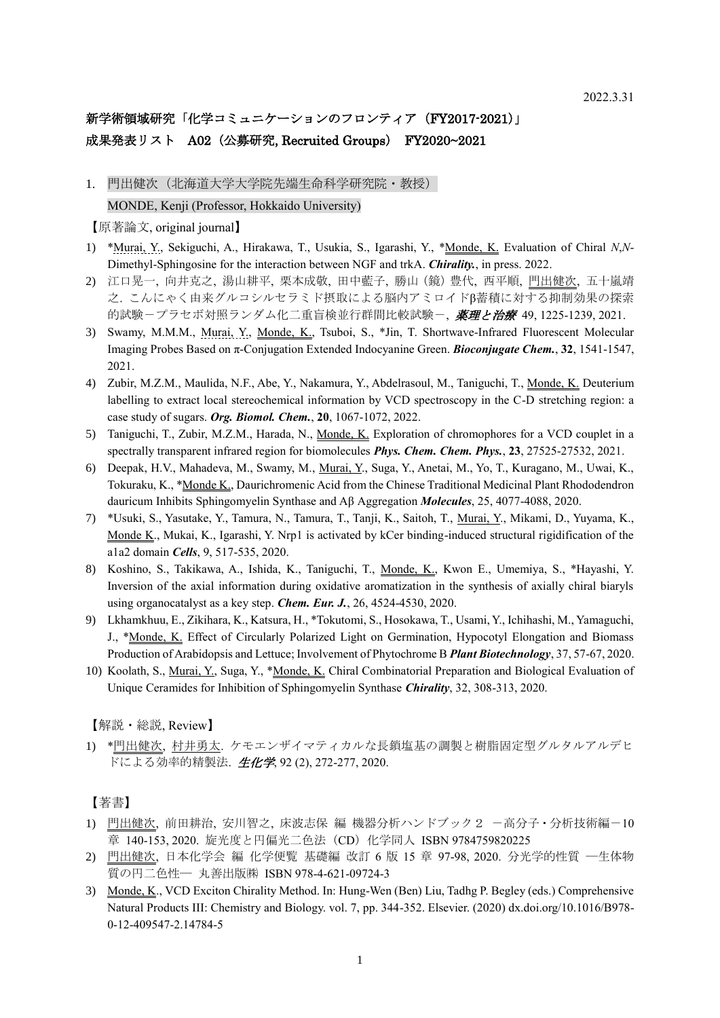# 新学術領域研究「化学コミュニケーションのフロンティア (FY2017-2021)」 成果発表リスト A02 (公募研究, Recruited Groups) FY2020~2021

1. 門出健次(北海道大学大学院先端生命科学研究院・教授) MONDE, Kenji (Professor, Hokkaido University)

【原著論文, original journal】

- 1) \*Murai, Y., Sekiguchi, A., Hirakawa, T., Usukia, S., Igarashi, Y., \*Monde, K. Evaluation of Chiral *N*,*N*-Dimethyl-Sphingosine for the interaction between NGF and trkA. *Chirality.*, in press. 2022.
- 2) 江口晃一, 向井克之, 湯山耕平, 栗本成敬, 田中藍子, 勝山(鏡)豊代, 西平順, 門出健次, 五十嵐靖 之. こんにゃく由来グルコシルセラミド摂取による脳内アミロイドβ蓄積に対する抑制効果の探索 的試験-プラセボ対照ランダム化二重盲検並行群間比較試験-, *薬理と治療 49,1225-1239,2021.*
- 3) Swamy, M.M.M., Murai, Y., Monde, K., Tsuboi, S., \*Jin, T. Shortwave-Infrared Fluorescent Molecular Imaging Probes Based on π-Conjugation Extended Indocyanine Green. *Bioconjugate Chem.*, **32**, 1541-1547, 2021.
- 4) Zubir, M.Z.M., Maulida, N.F., Abe, Y., Nakamura, Y., Abdelrasoul, M., Taniguchi, T., Monde, K. Deuterium labelling to extract local stereochemical information by VCD spectroscopy in the C-D stretching region: a case study of sugars. *Org. Biomol. Chem.*, **20**, 1067-1072, 2022.
- 5) Taniguchi, T., Zubir, M.Z.M., Harada, N., Monde, K. Exploration of chromophores for a VCD couplet in a spectrally transparent infrared region for biomolecules *Phys. Chem. Chem. Phys.*, **23**, 27525-27532, 2021.
- 6) Deepak, H.V., Mahadeva, M., Swamy, M., Murai, Y., Suga, Y., Anetai, M., Yo, T., Kuragano, M., Uwai, K., Tokuraku, K., \*Monde K., Daurichromenic Acid from the Chinese Traditional Medicinal Plant Rhododendron dauricum Inhibits Sphingomyelin Synthase and Aβ Aggregation *Molecules*, 25, 4077-4088, 2020.
- 7) \*Usuki, S., Yasutake, Y., Tamura, N., Tamura, T., Tanji, K., Saitoh, T., Murai, Y., Mikami, D., Yuyama, K., Monde K., Mukai, K., Igarashi, Y. Nrp1 is activated by kCer binding-induced structural rigidification of the a1a2 domain *Cells*, 9, 517-535, 2020.
- 8) Koshino, S., Takikawa, A., Ishida, K., Taniguchi, T., Monde, K., Kwon E., Umemiya, S., \*Hayashi, Y. Inversion of the axial information during oxidative aromatization in the synthesis of axially chiral biaryls using organocatalyst as a key step. *Chem. Eur. J.*, 26, 4524-4530, 2020.
- 9) Lkhamkhuu, E., Zikihara, K., Katsura, H., \*Tokutomi, S., Hosokawa, T., Usami, Y., Ichihashi, M., Yamaguchi, J., \*Monde, K. Effect of Circularly Polarized Light on Germination, Hypocotyl Elongation and Biomass Production of Arabidopsis and Lettuce; Involvement of Phytochrome B *Plant Biotechnology*, 37, 57-67, 2020.
- 10) Koolath, S., Murai, Y., Suga, Y., \*Monde, K. Chiral Combinatorial Preparation and Biological Evaluation of Unique Ceramides for Inhibition of Sphingomyelin Synthase *Chirality*, 32, 308-313, 2020.

【解説・総説, Review】

1) \*門出健次, 村井勇太. ケモエンザイマティカルな長鎖塩基の調製と樹脂固定型グルタルアルデヒ ドによる効率的精製法. 生化学, 92 (2), 272-277, 2020.

【著書】

- 1) 門出健次, 前田耕治, 安川智之, 床波志保 編 機器分析ハンドブック2 -高分子・分析技術編-10 章 140-153, 2020. 旋光度と円偏光二色法 (CD) 化学同人 ISBN 9784759820225
- 2) 門出健次, 日本化学会 編 化学便覧 基礎編 改訂 6 版 15 章 97-98, 2020. 分光学的性質 ―生体物 質の円二色性― 丸善出版㈱ ISBN 978-4-621-09724-3
- 3) Monde, K., VCD Exciton Chirality Method. In: Hung-Wen (Ben) Liu, Tadhg P. Begley (eds.) Comprehensive Natural Products III: Chemistry and Biology. vol. 7, pp. 344-352. Elsevier. (2020) dx.doi.org/10.1016/B978- 0-12-409547-2.14784-5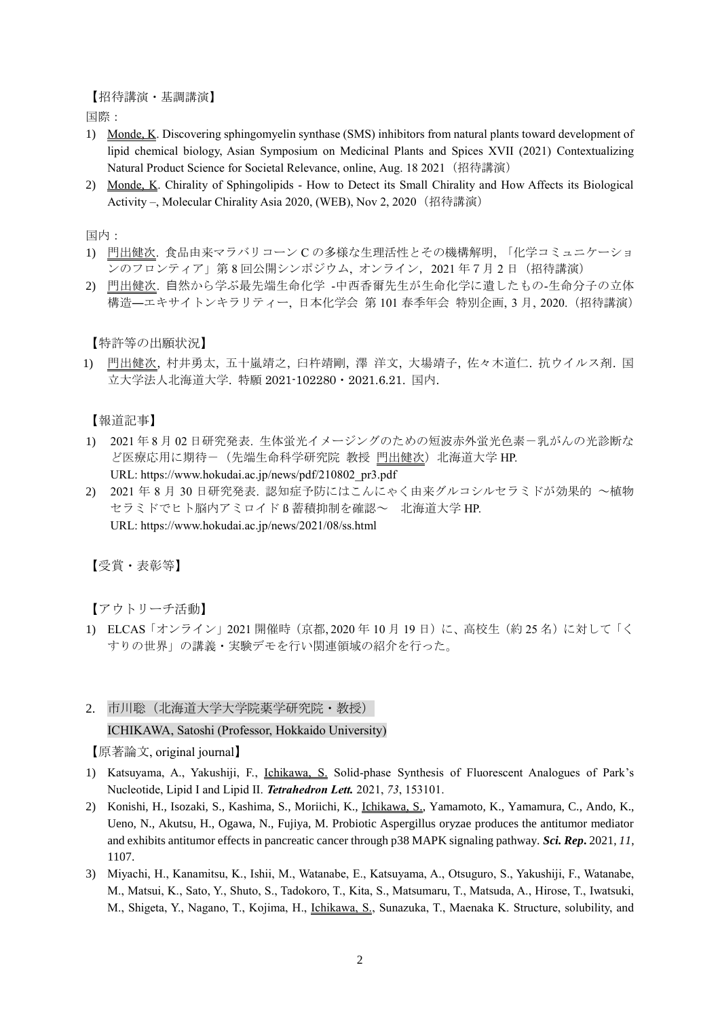【招待講演・基調講演】

国際:

- 1) Monde, K. Discovering sphingomyelin synthase (SMS) inhibitors from natural plants toward development of lipid chemical biology, Asian Symposium on Medicinal Plants and Spices XVII (2021) Contextualizing Natural Product Science for Societal Relevance, online, Aug. 18 2021 (招待講演)
- 2) Monde, K. Chirality of Sphingolipids How to Detect its Small Chirality and How Affects its Biological Activity –, Molecular Chirality Asia 2020, (WEB), Nov 2, 2020 (招待講演)

国内:

- 1) 門出健次. 食品由来マラバリコーン C の多様な生理活性とその機構解明, 「化学コミュニケーショ ンのフロンティア」第8回公開シンポジウム, オンライン, 2021 年7月2日 (招待講演)
- 2) 門出健次. ⾃然から学ぶ最先端生命化学 -中西香爾先生が生命化学に遺したもの-生命分子の立体 構造―エキサイトンキラリティー, 日本化学会 第 101 春季年会 特別企画, 3 月, 2020.(招待講演)

【特許等の出願状況】

1) 門出健次, 村井勇太, 五十嵐靖之, 臼杵靖剛, 澤 洋文, 大場靖子, 佐々木道仁. 抗ウイルス剤. 国 立大学法人北海道大学. 特願 2021-102280・2021.6.21. 国内.

【報道記事】

- 1) 2021 年 8 月 02 日研究発表. 生体蛍光イメージングのための短波赤外蛍光色素-乳がんの光診断な ど医療応用に期待- (先端生命科学研究院 教授 門出健次) 北海道大学 HP. URL: https://www.hokudai.ac.jp/news/pdf/210802\_pr3.pdf
- 2) 2021 年 8 月 30 日研究発表. 認知症予防にはこんにゃく由来グルコシルセラミドが効果的 ~植物 セラミドでヒト脳内アミロイド ß 蓄積抑制を確認~ 北海道大学 HP. URL: https://www.hokudai.ac.jp/news/2021/08/ss.html

【受賞・表彰等】

【アウトリーチ活動】

- 1) ELCAS「オンライン」2021 開催時(京都, 2020 年 10 月 19 日)に、高校生(約 25 名)に対して「く すりの世界」の講義・実験デモを行い関連領域の紹介を行った。
- 2. 市川聡 (北海道大学大学院薬学研究院 · 教授)

ICHIKAWA, Satoshi (Professor, Hokkaido University)

- 1) Katsuyama, A., Yakushiji, F., Ichikawa, S. Solid-phase Synthesis of Fluorescent Analogues of Park's Nucleotide, Lipid I and Lipid II. *Tetrahedron Lett.* 2021, *73*, 153101.
- 2) Konishi, H., Isozaki, S., Kashima, S., Moriichi, K., Ichikawa, S., Yamamoto, K., Yamamura, C., Ando, K., Ueno, N., Akutsu, H., Ogawa, N., Fujiya, M. Probiotic Aspergillus oryzae produces the antitumor mediator and exhibits antitumor effects in pancreatic cancer through p38 MAPK signaling pathway. *Sci. Rep***.** 2021, *11*, 1107.
- 3) Miyachi, H., Kanamitsu, K., Ishii, M., Watanabe, E., Katsuyama, A., Otsuguro, S., Yakushiji, F., Watanabe, M., Matsui, K., Sato, Y., Shuto, S., Tadokoro, T., Kita, S., Matsumaru, T., Matsuda, A., Hirose, T., Iwatsuki, M., Shigeta, Y., Nagano, T., Kojima, H., Ichikawa, S., Sunazuka, T., Maenaka K. Structure, solubility, and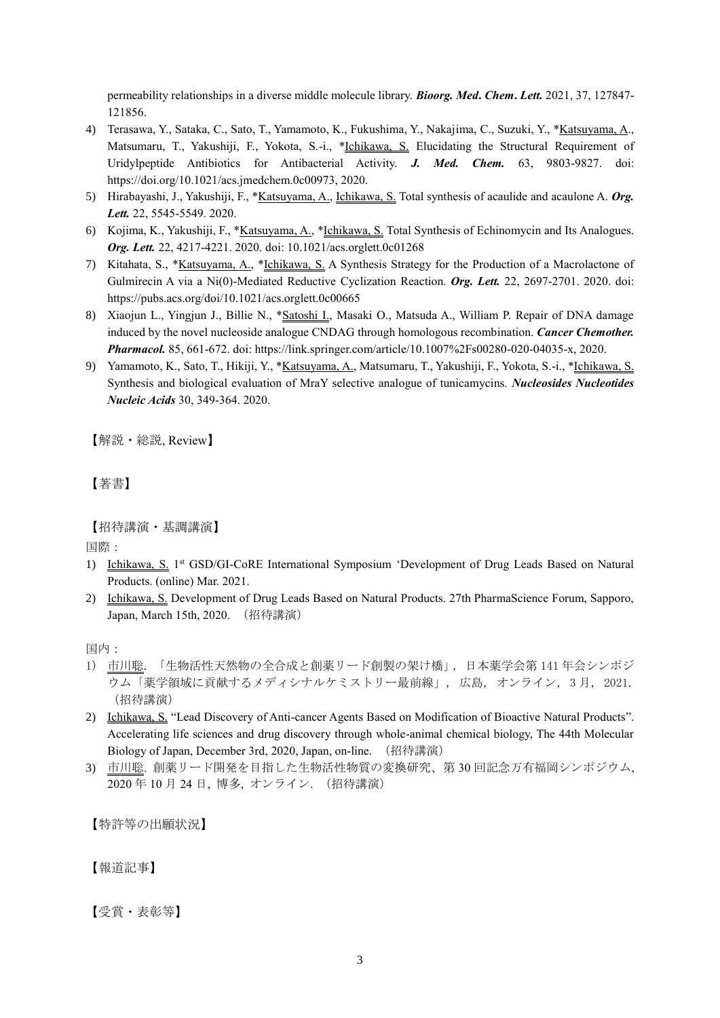permeability relationships in a diverse middle molecule library. *Bioorg. Med***.** *Chem***.** *Lett.* 2021, 37, 127847- 121856.

- 4) Terasawa, Y., Sataka, C., Sato, T., Yamamoto, K., Fukushima, Y., Nakajima, C., Suzuki, Y., \*Katsuyama, A., Matsumaru, T., Yakushiji, F., Yokota, S.-i., \*Ichikawa, S. Elucidating the Structural Requirement of Uridylpeptide Antibiotics for Antibacterial Activity. *J. Med. Chem.* 63, 9803-9827. doi: https://doi.org/10.1021/acs.jmedchem.0c00973, 2020.
- 5) Hirabayashi, J., Yakushiji, F., \*Katsuyama, A., Ichikawa, S. Total synthesis of acaulide and acaulone A. *Org. Lett.* 22, 5545-5549. 2020.
- 6) Kojima, K., Yakushiji, F., \*Katsuyama, A., \*Ichikawa, S. Total Synthesis of Echinomycin and Its Analogues. *Org. Lett.* 22, 4217-4221. 2020. doi: 10.1021/acs.orglett.0c01268
- 7) Kitahata, S., \*Katsuyama, A., \*Ichikawa, S. A Synthesis Strategy for the Production of a Macrolactone of Gulmirecin A via a Ni(0)-Mediated Reductive Cyclization Reaction. *Org. Lett.* 22, 2697-2701. 2020. doi: https://pubs.acs.org/doi/10.1021/acs.orglett.0c00665
- 8) Xiaojun L., Yingjun J., Billie N., \*Satoshi I., Masaki O., Matsuda A., William P. Repair of DNA damage induced by the novel nucleoside analogue CNDAG through homologous recombination. *Cancer Chemother. Pharmacol.* 85, 661-672. doi: https://link.springer.com/article/10.1007%2Fs00280-020-04035-x, 2020.
- 9) Yamamoto, K., Sato, T., Hikiji, Y., \*Katsuyama, A., Matsumaru, T., Yakushiji, F., Yokota, S.-i., \*Ichikawa, S. Synthesis and biological evaluation of MraY selective analogue of tunicamycins. *Nucleosides Nucleotides Nucleic Acids* 30, 349-364. 2020.

【解説・総説, Review】

【著書】

【招待講演・基調講演】

国際:

- 1) Ichikawa, S. 1<sup>st</sup> GSD/GI-CoRE International Symposium 'Development of Drug Leads Based on Natural Products. (online) Mar. 2021.
- 2) Ichikawa, S. Development of Drug Leads Based on Natural Products. 27th PharmaScience Forum, Sapporo, Japan, March 15th, 2020. (招待講演)

国内:

- 1) 市川聡. 「生物活性天然物の全合成と創薬リード創製の架け橋」, 日本薬学会第 141 年会シンポジ ウム「薬学領域に貢献するメディシナルケミストリー最前線」, 広島, オンライン, 3 月, 2021. (招待講演)
- 2) Ichikawa, S. "Lead Discovery of Anti-cancer Agents Based on Modification of Bioactive Natural Products". Accelerating life sciences and drug discovery through whole-animal chemical biology, The 44th Molecular Biology of Japan, December 3rd, 2020, Japan, on-line. (招待講演)
- 3) 市川聡. 創薬リード開発を目指した生物活性物質の変換研究、第 30 回記念万有福岡シンポジウム, 2020 年 10 月 24 日, 博多, オンライン. (招待講演)

【特許等の出願状況】

【報道記事】

【受賞・表彰等】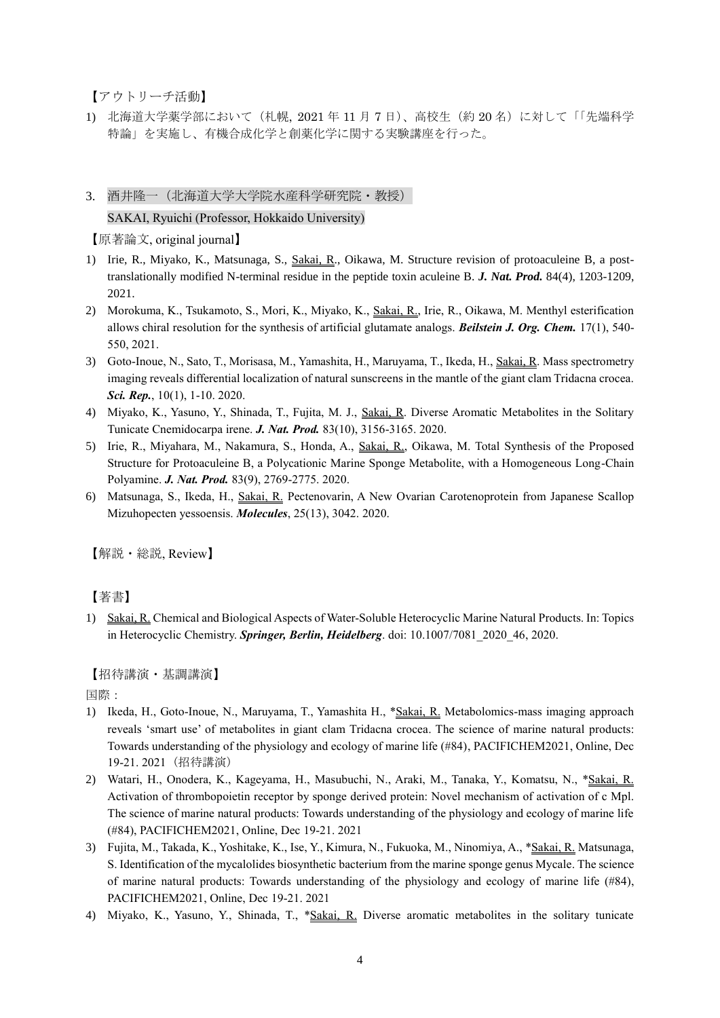【アウトリーチ活動】

1) 北海道大学薬学部において(札幌, 2021 年 11 月 7 日)、高校生(約 20 名)に対して「「先端科学 特論」を実施し、有機合成化学と創薬化学に関する実験講座を行った。

# 3. 酒井隆一(北海道大学大学院水産科学研究院・教授) SAKAI, Ryuichi (Professor, Hokkaido University)

【原著論文, original journal】

- 1) Irie, R., Miyako, K., Matsunaga, S., Sakai, R., Oikawa, M. Structure revision of protoaculeine B, a posttranslationally modified N-terminal residue in the peptide toxin aculeine B. *J. Nat. Prod.* 84(4), 1203-1209, 2021.
- 2) Morokuma, K., Tsukamoto, S., Mori, K., Miyako, K., Sakai, R., Irie, R., Oikawa, M. Menthyl esterification allows chiral resolution for the synthesis of artificial glutamate analogs. *Beilstein J. Org. Chem.* 17(1), 540- 550, 2021.
- 3) Goto-Inoue, N., Sato, T., Morisasa, M., Yamashita, H., Maruyama, T., Ikeda, H., Sakai, R. Mass spectrometry imaging reveals differential localization of natural sunscreens in the mantle of the giant clam Tridacna crocea. *Sci. Rep.*, 10(1), 1-10. 2020.
- 4) Miyako, K., Yasuno, Y., Shinada, T., Fujita, M. J., Sakai, R. Diverse Aromatic Metabolites in the Solitary Tunicate Cnemidocarpa irene. *J. Nat. Prod.* 83(10), 3156-3165. 2020.
- 5) Irie, R., Miyahara, M., Nakamura, S., Honda, A., Sakai, R., Oikawa, M. Total Synthesis of the Proposed Structure for Protoaculeine B, a Polycationic Marine Sponge Metabolite, with a Homogeneous Long-Chain Polyamine. *J. Nat. Prod.* 83(9), 2769-2775. 2020.
- 6) Matsunaga, S., Ikeda, H., Sakai, R. Pectenovarin, A New Ovarian Carotenoprotein from Japanese Scallop Mizuhopecten yessoensis. *Molecules*, 25(13), 3042. 2020.

【解説・総説, Review】

### 【著書】

1) Sakai, R. Chemical and Biological Aspects of Water-Soluble Heterocyclic Marine Natural Products. In: Topics in Heterocyclic Chemistry. **Springer, Berlin, Heidelberg**. doi: 10.1007/7081 2020 46, 2020.

### 【招待講演・基調講演】

国際:

- 1) Ikeda, H., Goto-Inoue, N., Maruyama, T., Yamashita H., \*Sakai, R. Metabolomics-mass imaging approach reveals 'smart use' of metabolites in giant clam Tridacna crocea. The science of marine natural products: Towards understanding of the physiology and ecology of marine life (#84), PACIFICHEM2021, Online, Dec 19-21. 2021 (招待講演)
- 2) Watari, H., Onodera, K., Kageyama, H., Masubuchi, N., Araki, M., Tanaka, Y., Komatsu, N., \*Sakai, R. Activation of thrombopoietin receptor by sponge derived protein: Novel mechanism of activation of c Mpl. The science of marine natural products: Towards understanding of the physiology and ecology of marine life (#84), PACIFICHEM2021, Online, Dec 19-21. 2021
- 3) Fujita, M., Takada, K., Yoshitake, K., Ise, Y., Kimura, N., Fukuoka, M., Ninomiya, A., \*Sakai, R. Matsunaga, S. Identification of the mycalolides biosynthetic bacterium from the marine sponge genus Mycale. The science of marine natural products: Towards understanding of the physiology and ecology of marine life (#84), PACIFICHEM2021, Online, Dec 19-21. 2021
- 4) Miyako, K., Yasuno, Y., Shinada, T., \*Sakai, R. Diverse aromatic metabolites in the solitary tunicate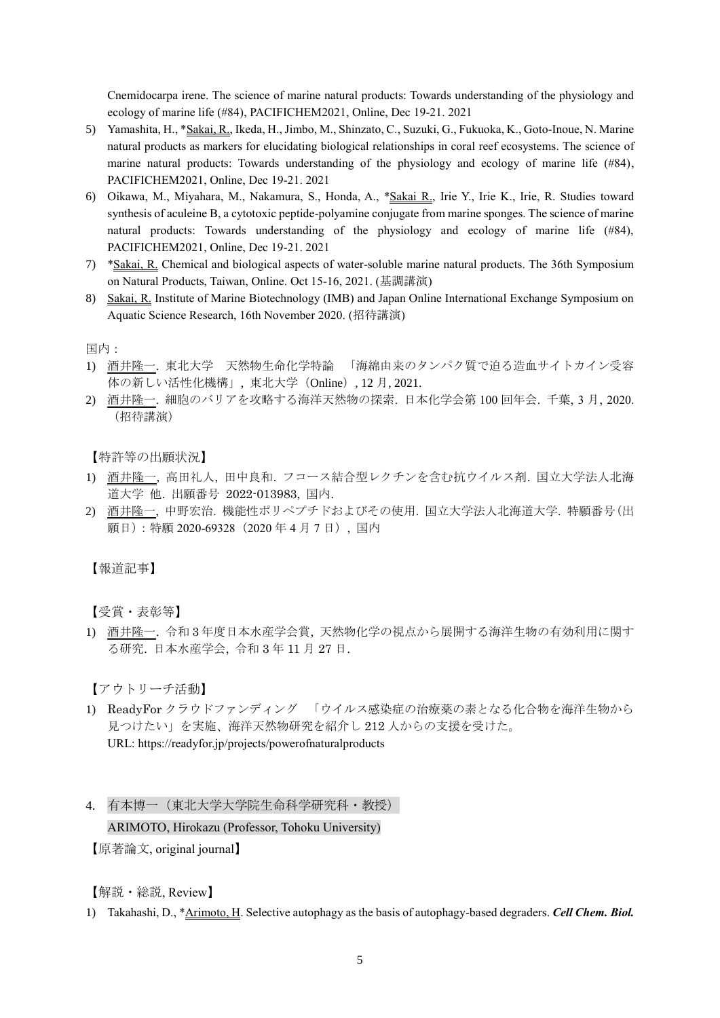Cnemidocarpa irene. The science of marine natural products: Towards understanding of the physiology and ecology of marine life (#84), PACIFICHEM2021, Online, Dec 19-21. 2021

- 5) Yamashita, H., \*Sakai, R., Ikeda, H., Jimbo, M., Shinzato, C., Suzuki, G., Fukuoka, K., Goto-Inoue, N. Marine natural products as markers for elucidating biological relationships in coral reef ecosystems. The science of marine natural products: Towards understanding of the physiology and ecology of marine life (#84), PACIFICHEM2021, Online, Dec 19-21. 2021
- 6) Oikawa, M., Miyahara, M., Nakamura, S., Honda, A., \* Sakai R., Irie Y., Irie K., Irie, R. Studies toward synthesis of aculeine B, a cytotoxic peptide-polyamine conjugate from marine sponges. The science of marine natural products: Towards understanding of the physiology and ecology of marine life (#84), PACIFICHEM2021, Online, Dec 19-21. 2021
- 7) \*Sakai, R. Chemical and biological aspects of water-soluble marine natural products. The 36th Symposium on Natural Products, Taiwan, Online. Oct 15-16, 2021. (基調講演)
- 8) Sakai, R. Institute of Marine Biotechnology (IMB) and Japan Online International Exchange Symposium on Aquatic Science Research, 16th November 2020. (招待講演)

国内:

- 1) 酒井隆一. 東北大学 天然物生命化学特論 「海綿由来のタンパク質で迫る造血サイトカイン受容 体の新しい活性化機構」, 東北大学(Online), 12 月, 2021.
- 2) 酒井隆一. 細胞のバリアを攻略する海洋天然物の探索. 日本化学会第 100 回年会. 千葉, 3 月, 2020. (招待講演)

【特許等の出願状況】

- 1) 酒井隆一, 高田礼人, 田中良和. フコース結合型レクチンを含む抗ウイルス剤. 国立大学法人北海 道大学 他. 出願番号 2022-013983, 国内.
- 2) 酒井隆一, 中野宏治. 機能性ポリペプチドおよびその使用. 国立大学法人北海道大学. 特願番号(出 願日):特願 2020-69328(2020 年 4 月 7 日), 国内

【報道記事】

【受賞・表彰等】

1) 酒井隆一. 令和 3 年度日本水産学会賞, 天然物化学の視点から展開する海洋生物の有効利用に関す る研究. 日本水産学会, 令和 3 年 11 月 27 日.

【アウトリーチ活動】

1) ReadyFor クラウドファンディング 「ウイルス感染症の治療薬の素となる化合物を海洋生物から 見つけたい」を実施、海洋天然物研究を紹介し 212 人からの支援を受けた。 URL: https://readyfor.jp/projects/powerofnaturalproducts

### ARIMOTO, Hirokazu (Professor, Tohoku University)

【原著論文, original journal】

【解説・総説, Review】

1) Takahashi, D., \*Arimoto, H. Selective autophagy as the basis of autophagy-based degraders. *Cell Chem. Biol.*

<sup>4.</sup> 有本博一(東北大学大学院生命科学研究科・教授)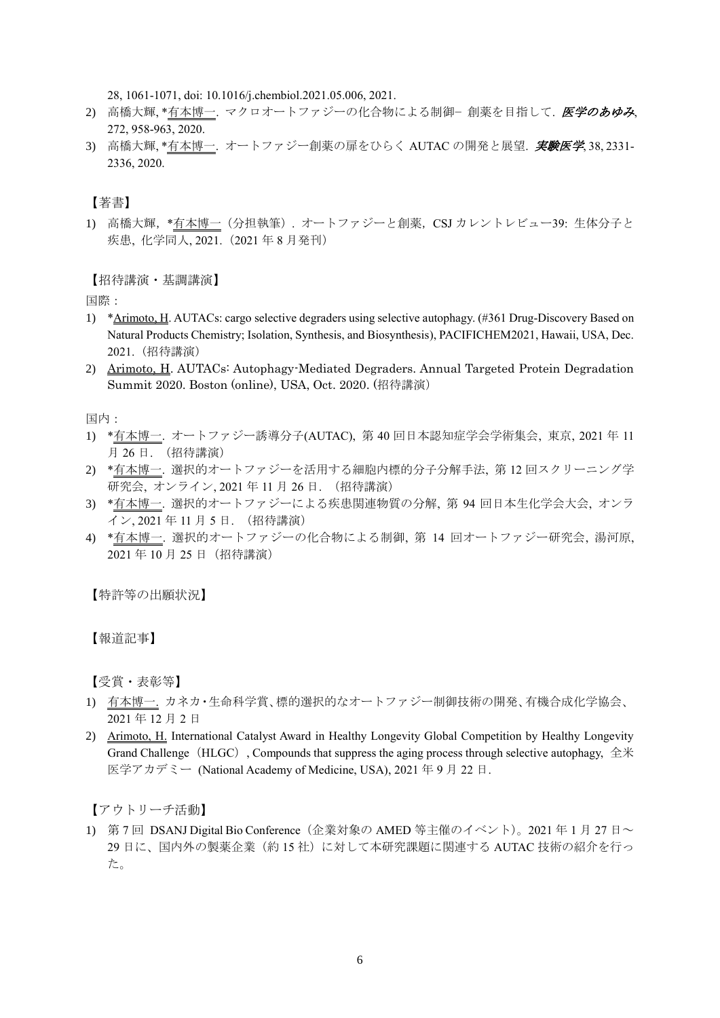28, 1061-1071, doi: 10.1016/j.chembiol.2021.05.006, 2021.

- 2) 高橋大輝、\*有本博一. マクロオートファジーの化合物による制御− 創薬を目指して. 医学のあゆみ, 272, 958-963, 2020.
- 3) 高橋大輝, \*有本博一. オートファジー創薬の扉をひらく AUTAC の開発と展望. 実験医学, 38, 2331-2336, 2020.

【著書】

1) 高橋大輝,\*有本博一(分担執筆). オートファジーと創薬,CSJ カレントレビュー39: 生体分子と 疾患, 化学同人, 2021.(2021 年 8 月発刊)

【招待講演・基調講演】

国際:

- 1) \*Arimoto, H. AUTACs: cargo selective degraders using selective autophagy. (#361 Drug-Discovery Based on Natural Products Chemistry; Isolation, Synthesis, and Biosynthesis), PACIFICHEM2021, Hawaii, USA, Dec. 2021. (招待講演)
- 2) Arimoto, H. AUTACs: Autophagy-Mediated Degraders. Annual Targeted Protein Degradation Summit 2020. Boston (online), USA, Oct. 2020. (招待講演)

国内:

- 1) \*有本博一. オートファジー誘導分子(AUTAC), 第 40 回日本認知症学会学術集会, 東京, 2021 年 11 月 26 日. (招待講演)
- 2) \*有本博一. 選択的オートファジーを活用する細胞内標的分子分解手法, 第 12 回スクリーニング学 研究会, オンライン, 2021 年 11 月 26 日. (招待講演)
- 3) \*有本博一. 選択的オートファジーによる疾患関連物質の分解, 第 94 回日本生化学会大会, オンラ イン, 2021 年 11 月 5 日. (招待講演)
- 4) \*有本博一. 選択的オートファジーの化合物による制御, 第 14 回オートファジー研究会, 湯河原, 2021 年 10 月 25 日(招待講演)

【特許等の出願状況】

【報道記事】

【受賞・表彰等】

- 1) 有本博一. カネカ・生命科学賞、標的選択的なオートファジー制御技術の開発、有機合成化学協会、 2021 年 12 月 2 日
- 2) Arimoto, H. International Catalyst Award in Healthy Longevity Global Competition by Healthy Longevity Grand Challenge (HLGC), Compounds that suppress the aging process through selective autophagy, 全米 医学アカデミー (National Academy of Medicine, USA), 2021 年 9 月 22 日.

【アウトリーチ活動】

1) 第 7 回 DSANJ Digital Bio Conference (企業対象の AMED 等主催のイベント)。2021 年 1 月 27 日~ 29 日に、国内外の製薬企業(約 15 社)に対して本研究課題に関連する AUTAC 技術の紹介を行っ た。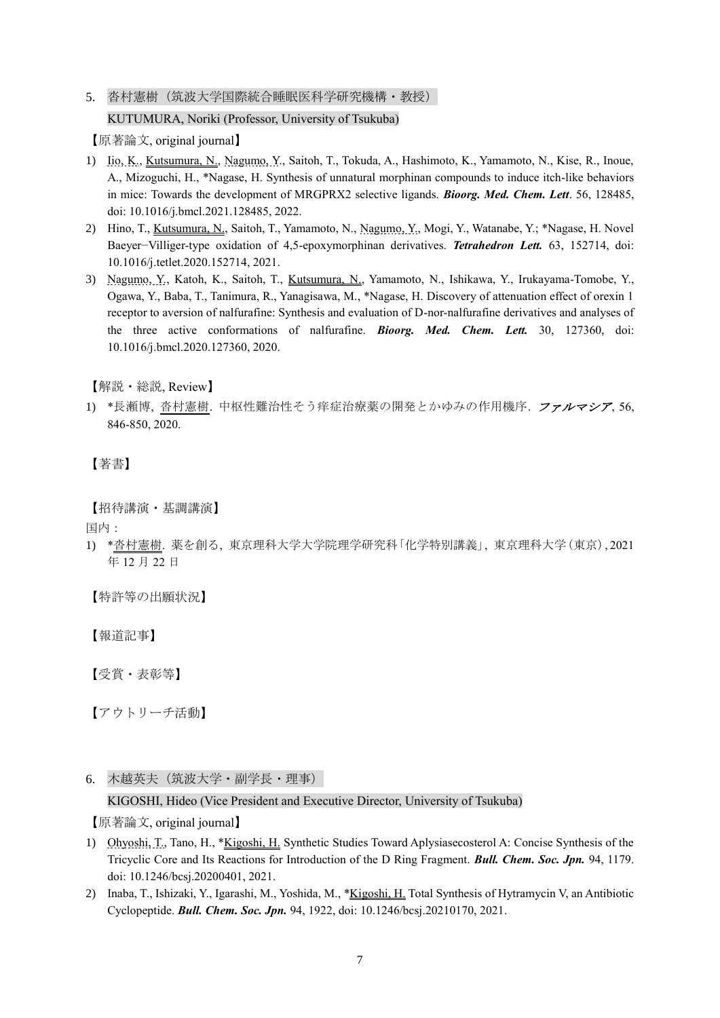# 5. 沓村憲樹(筑波大学国際統合睡眠医科学研究機構·教授) KUTUMURA, Noriki (Professor, University of Tsukuba)

【原著論文, original journal】

- 1) Iio, K., Kutsumura, N., Nagumo, Y., Saitoh, T., Tokuda, A., Hashimoto, K., Yamamoto, N., Kise, R., Inoue, A., Mizoguchi, H., \*Nagase, H. Synthesis of unnatural morphinan compounds to induce itch-like behaviors in mice: Towards the development of MRGPRX2 selective ligands. *Bioorg. Med. Chem. Lett*. 56, 128485, doi: 10.1016/j.bmcl.2021.128485, 2022.
- 2) Hino, T., Kutsumura, N., Saitoh, T., Yamamoto, N., Nagumo, Y., Mogi, Y., Watanabe, Y.; \*Nagase, H. Novel Baeyer−Villiger-type oxidation of 4,5-epoxymorphinan derivatives. *Tetrahedron Lett.* 63, 152714, doi: 10.1016/j.tetlet.2020.152714, 2021.
- 3) Nagumo, Y., Katoh, K., Saitoh, T., Kutsumura, N., Yamamoto, N., Ishikawa, Y., Irukayama-Tomobe, Y., Ogawa, Y., Baba, T., Tanimura, R., Yanagisawa, M., \*Nagase, H. Discovery of attenuation effect of orexin 1 receptor to aversion of nalfurafine: Synthesis and evaluation of D-nor-nalfurafine derivatives and analyses of the three active conformations of nalfurafine. *Bioorg. Med. Chem. Lett.* 30, 127360, doi: 10.1016/j.bmcl.2020.127360, 2020.

【解説・総説, Review】

1) \*長瀬博, 沓村憲樹. 中枢性難治性そう痒症治療薬の開発とかゆみの作用機序. ファルマシア, 56, 846-850, 2020.

# 【著書】

【招待講演・基調講演】

国内:

1) \*沓村憲樹. 薬を創る, 東京理科大学大学院理学研究科「化学特別講義」, 東京理科大学(東京), 2021 年 12 月 22 日

【特許等の出願状況】

【報道記事】

【受賞・表彰等】

【アウトリーチ活動】

6. 木越英夫(筑波大学・副学長・理事)

# KIGOSHI, Hideo (Vice President and Executive Director, University of Tsukuba)

- 1) Ohyoshi, T., Tano, H., \*Kigoshi, H. Synthetic Studies Toward Aplysiasecosterol A: Concise Synthesis of the Tricyclic Core and Its Reactions for Introduction of the D Ring Fragment. *Bull. Chem. Soc. Jpn.* 94, 1179. doi: 10.1246/bcsj.20200401, 2021.
- 2) Inaba, T., Ishizaki, Y., Igarashi, M., Yoshida, M., \*Kigoshi, H. Total Synthesis of Hytramycin V, an Antibiotic Cyclopeptide. *Bull. Chem. Soc. Jpn.* 94, 1922, doi: 10.1246/bcsj.20210170, 2021.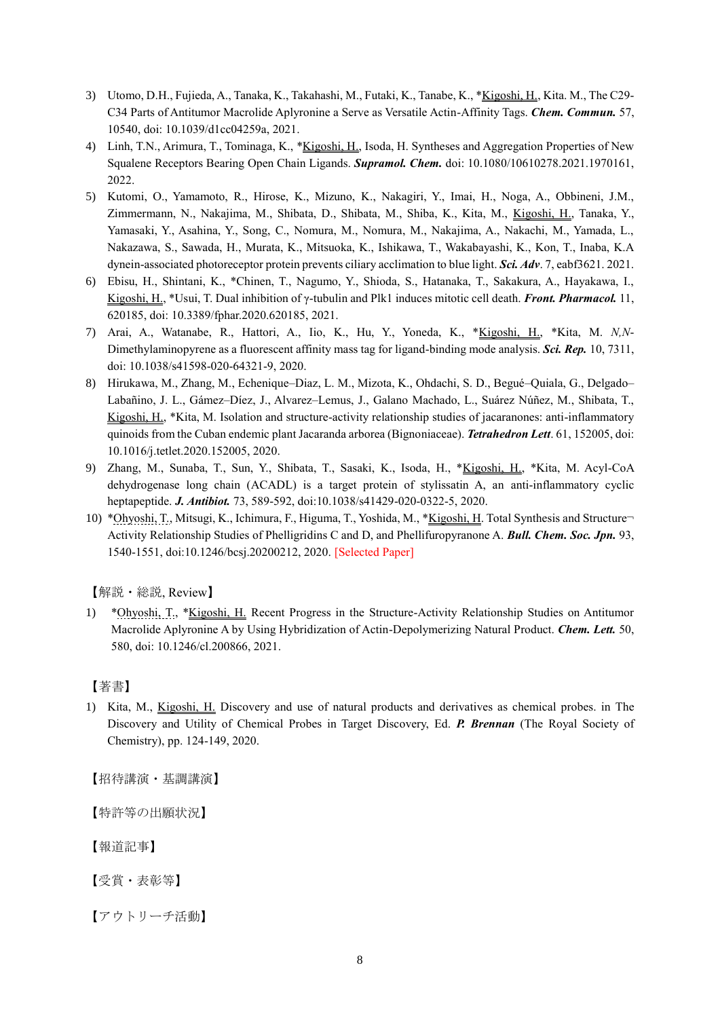- 3) Utomo, D.H., Fujieda, A., Tanaka, K., Takahashi, M., Futaki, K., Tanabe, K., \*Kigoshi, H., Kita. M., The C29- C34 Parts of Antitumor Macrolide Aplyronine a Serve as Versatile Actin-Affinity Tags. *Chem. Commun.* 57, 10540, doi: 10.1039/d1cc04259a, 2021.
- 4) Linh, T.N., Arimura, T., Tominaga, K., \*Kigoshi, H., Isoda, H. Syntheses and Aggregation Properties of New Squalene Receptors Bearing Open Chain Ligands. *Supramol. Chem.* doi: 10.1080/10610278.2021.1970161, 2022.
- 5) Kutomi, O., Yamamoto, R., Hirose, K., Mizuno, K., Nakagiri, Y., Imai, H., Noga, A., Obbineni, J.M., Zimmermann, N., Nakajima, M., Shibata, D., Shibata, M., Shiba, K., Kita, M., Kigoshi, H., Tanaka, Y., Yamasaki, Y., Asahina, Y., Song, C., Nomura, M., Nomura, M., Nakajima, A., Nakachi, M., Yamada, L., Nakazawa, S., Sawada, H., Murata, K., Mitsuoka, K., Ishikawa, T., Wakabayashi, K., Kon, T., Inaba, K.A dynein-associated photoreceptor protein prevents ciliary acclimation to blue light. *Sci. Adv*. 7, eabf3621. 2021.
- 6) Ebisu, H., Shintani, K., \*Chinen, T., Nagumo, Y., Shioda, S., Hatanaka, T., Sakakura, A., Hayakawa, I., Kigoshi, H., \*Usui, T. Dual inhibition of γ-tubulin and Plk1 induces mitotic cell death. *Front. Pharmacol.* 11, 620185, doi: 10.3389/fphar.2020.620185, 2021.
- 7) Arai, A., Watanabe, R., Hattori, A., Iio, K., Hu, Y., Yoneda, K., \*Kigoshi, H., \*Kita, M. *N,N*-Dimethylaminopyrene as a fluorescent affinity mass tag for ligand-binding mode analysis. *Sci. Rep.* 10, 7311, doi: 10.1038/s41598-020-64321-9, 2020.
- 8) Hirukawa, M., Zhang, M., Echenique–Diaz, L. M., Mizota, K., Ohdachi, S. D., Begué–Quiala, G., Delgado– Labañino, J. L., Gámez–Díez, J., Alvarez–Lemus, J., Galano Machado, L., Suárez Núñez, M., Shibata, T., Kigoshi, H., \*Kita, M. Isolation and structure-activity relationship studies of jacaranones: anti-inflammatory quinoids from the Cuban endemic plant Jacaranda arborea (Bignoniaceae). *Tetrahedron Lett*. 61, 152005, doi: 10.1016/j.tetlet.2020.152005, 2020.
- 9) Zhang, M., Sunaba, T., Sun, Y., Shibata, T., Sasaki, K., Isoda, H., \*Kigoshi, H., \*Kita, M. Acyl-CoA dehydrogenase long chain (ACADL) is a target protein of stylissatin A, an anti-inflammatory cyclic heptapeptide. *J. Antibiot.* 73, 589-592, doi:10.1038/s41429-020-0322-5, 2020.
- 10) \*Ohyoshi, T., Mitsugi, K., Ichimura, F., Higuma, T., Yoshida, M., \*Kigoshi, H. Total Synthesis and Structure¬ Activity Relationship Studies of Phelligridins C and D, and Phellifuropyranone A. *Bull. Chem. Soc. Jpn.* 93, 1540-1551, doi:10.1246/bcsj.20200212, 2020. [Selected Paper]

【解説・総説, Review】

1) \*Ohyoshi, T., \*Kigoshi, H. Recent Progress in the Structure-Activity Relationship Studies on Antitumor Macrolide Aplyronine A by Using Hybridization of Actin-Depolymerizing Natural Product. *Chem. Lett.* 50, 580, doi: 10.1246/cl.200866, 2021.

### 【著書】

1) Kita, M., Kigoshi, H. Discovery and use of natural products and derivatives as chemical probes. in The Discovery and Utility of Chemical Probes in Target Discovery, Ed. *P. Brennan* (The Royal Society of Chemistry), pp. 124-149, 2020.

【招待講演・基調講演】

【特許等の出願状況】

【報道記事】

【受賞・表彰等】

【アウトリーチ活動】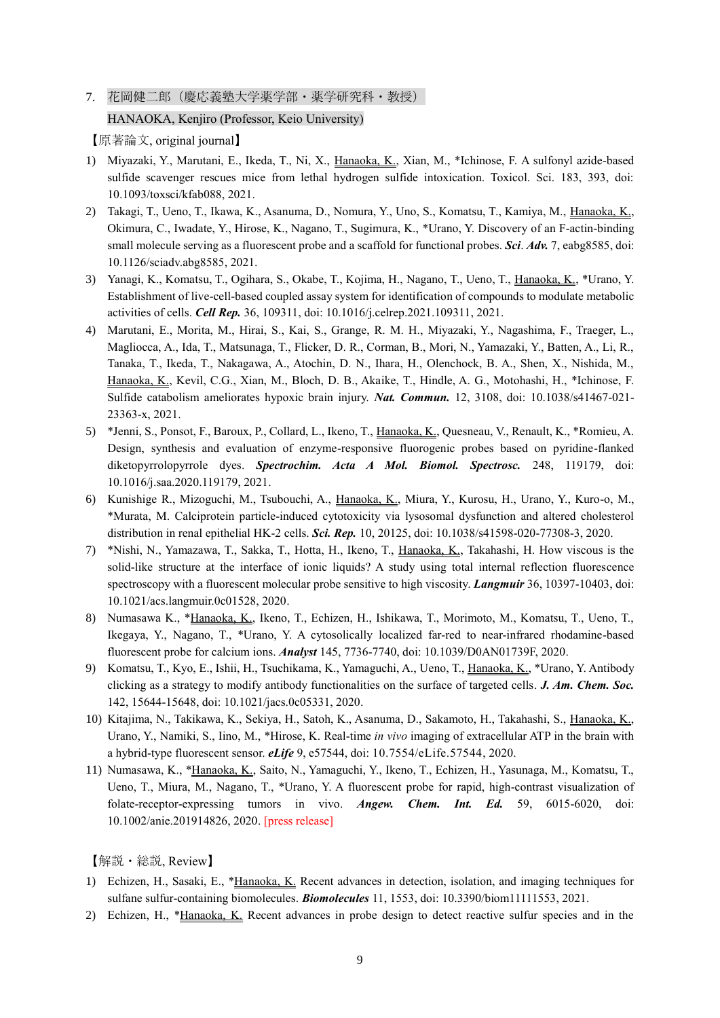7. 花岡健二郎(慶応義塾大学薬学部・薬学研究科・教授)

# HANAOKA, Kenjiro (Professor, Keio University)

【原著論文, original journal】

- 1) Miyazaki, Y., Marutani, E., Ikeda, T., Ni, X., Hanaoka, K., Xian, M., \*Ichinose, F. A sulfonyl azide-based sulfide scavenger rescues mice from lethal hydrogen sulfide intoxication. Toxicol. Sci. 183, 393, doi: 10.1093/toxsci/kfab088, 2021.
- 2) Takagi, T., Ueno, T., Ikawa, K., Asanuma, D., Nomura, Y., Uno, S., Komatsu, T., Kamiya, M., Hanaoka, K., Okimura, C., Iwadate, Y., Hirose, K., Nagano, T., Sugimura, K., \*Urano, Y. Discovery of an F-actin-binding small molecule serving as a fluorescent probe and a scaffold for functional probes. *Sci*. *Adv.* 7, eabg8585, doi: 10.1126/sciadv.abg8585, 2021.
- 3) Yanagi, K., Komatsu, T., Ogihara, S., Okabe, T., Kojima, H., Nagano, T., Ueno, T., Hanaoka, K., \*Urano, Y. Establishment of live-cell-based coupled assay system for identification of compounds to modulate metabolic activities of cells. *Cell Rep.* 36, 109311, doi: 10.1016/j.celrep.2021.109311, 2021.
- 4) Marutani, E., Morita, M., Hirai, S., Kai, S., Grange, R. M. H., Miyazaki, Y., Nagashima, F., Traeger, L., Magliocca, A., Ida, T., Matsunaga, T., Flicker, D. R., Corman, B., Mori, N., Yamazaki, Y., Batten, A., Li, R., Tanaka, T., Ikeda, T., Nakagawa, A., Atochin, D. N., Ihara, H., Olenchock, B. A., Shen, X., Nishida, M., Hanaoka, K., Kevil, C.G., Xian, M., Bloch, D. B., Akaike, T., Hindle, A. G., Motohashi, H., \*Ichinose, F. Sulfide catabolism ameliorates hypoxic brain injury. *Nat. Commun.* 12, 3108, doi: 10.1038/s41467-021- 23363-x, 2021.
- 5) \*Jenni, S., Ponsot, F., Baroux, P., Collard, L., Ikeno, T., Hanaoka, K., Quesneau, V., Renault, K., \*Romieu, A. Design, synthesis and evaluation of enzyme-responsive fluorogenic probes based on pyridine-flanked diketopyrrolopyrrole dyes. *Spectrochim. Acta A Mol. Biomol. Spectrosc.* 248, 119179, doi: 10.1016/j.saa.2020.119179, 2021.
- 6) Kunishige R., Mizoguchi, M., Tsubouchi, A., Hanaoka, K., Miura, Y., Kurosu, H., Urano, Y., Kuro-o, M., \*Murata, M. Calciprotein particle-induced cytotoxicity via lysosomal dysfunction and altered cholesterol distribution in renal epithelial HK-2 cells. *Sci. Rep.* 10, 20125, doi: 10.1038/s41598-020-77308-3, 2020.
- 7) \*Nishi, N., Yamazawa, T., Sakka, T., Hotta, H., Ikeno, T., Hanaoka, K., Takahashi, H. How viscous is the solid-like structure at the interface of ionic liquids? A study using total internal reflection fluorescence spectroscopy with a fluorescent molecular probe sensitive to high viscosity. *Langmuir* 36, 10397-10403, doi: 10.1021/acs.langmuir.0c01528, 2020.
- 8) Numasawa K., \*Hanaoka, K., Ikeno, T., Echizen, H., Ishikawa, T., Morimoto, M., Komatsu, T., Ueno, T., Ikegaya, Y., Nagano, T., \*Urano, Y. A cytosolically localized far-red to near-infrared rhodamine-based fluorescent probe for calcium ions. *Analyst* 145, 7736-7740, doi: 10.1039/D0AN01739F, 2020.
- 9) Komatsu, T., Kyo, E., Ishii, H., Tsuchikama, K., Yamaguchi, A., Ueno, T., Hanaoka, K., \*Urano, Y. Antibody clicking as a strategy to modify antibody functionalities on the surface of targeted cells. *J. Am. Chem. Soc.* 142, 15644-15648, doi: 10.1021/jacs.0c05331, 2020.
- 10) Kitajima, N., Takikawa, K., Sekiya, H., Satoh, K., Asanuma, D., Sakamoto, H., Takahashi, S., Hanaoka, K., Urano, Y., Namiki, S., Iino, M., \*Hirose, K. Real-time *in vivo* imaging of extracellular ATP in the brain with a hybrid-type fluorescent sensor. *eLife* 9, e57544, doi: 10.7554/eLife.57544, 2020.
- 11) Numasawa, K., \*Hanaoka, K., Saito, N., Yamaguchi, Y., Ikeno, T., Echizen, H., Yasunaga, M., Komatsu, T., Ueno, T., Miura, M., Nagano, T., \*Urano, Y. A fluorescent probe for rapid, high-contrast visualization of folate-receptor-expressing tumors in vivo. **Angew. Chem. Int. Ed.** 59, 6015-6020, 10.1002/anie.201914826, 2020. [press release]

【解説・総説, Review】

- 1) Echizen, H., Sasaki, E., \*Hanaoka, K. Recent advances in detection, isolation, and imaging techniques for sulfane sulfur-containing biomolecules. *Biomolecules* 11, 1553, doi: 10.3390/biom11111553, 2021.
- 2) Echizen, H., \*Hanaoka, K. Recent advances in probe design to detect reactive sulfur species and in the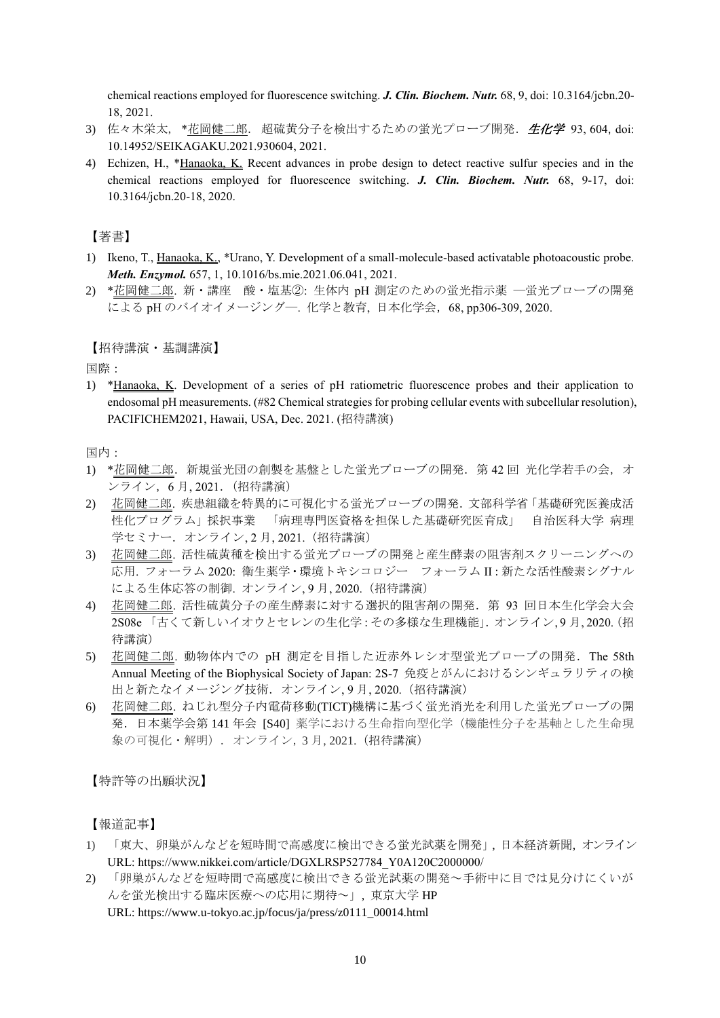chemical reactions employed for fluorescence switching. *J. Clin. Biochem. Nutr.* 68, 9, doi: 10.3164/jcbn.20- 18, 2021.

- 3) 佐々木栄太, \*花岡健二郎. 超硫黄分子を検出するための蛍光プローブ開発. 生化学 93,604, doi: 10.14952/SEIKAGAKU.2021.930604, 2021.
- 4) Echizen, H., \*Hanaoka, K. Recent advances in probe design to detect reactive sulfur species and in the chemical reactions employed for fluorescence switching. *J. Clin. Biochem. Nutr.* 68, 9-17, doi: 10.3164/jcbn.20-18, 2020.

【著書】

- 1) Ikeno, T., Hanaoka, K., \*Urano, Y. Development of a small-molecule-based activatable photoacoustic probe. *Meth. Enzymol.* 657, 1, 10.1016/bs.mie.2021.06.041, 2021.
- 2) \*花岡健二郎. 新・講座 酸・塩基②: 生体内 pH 測定のための蛍光指示薬 ―蛍光プローブの開発 による pH のバイオイメージング―. 化学と教育, 日本化学会,68, pp306-309, 2020.

### 【招待講演・基調講演】

国際:

1) \*Hanaoka, K. Development of a series of pH ratiometric fluorescence probes and their application to endosomal pH measurements. (#82 Chemical strategies for probing cellular events with subcellular resolution), PACIFICHEM2021, Hawaii, USA, Dec. 2021. (招待講演)

国内:

- 1) \*花岡健二郎. 新規蛍光団の創製を基盤とした蛍光プローブの開発. 第42回 光化学若手の会, オ ンライン,6 月, 2021.(招待講演)
- 2) 花岡健二郎. 疾患組織を特異的に可視化する蛍光プローブの開発.文部科学省「基礎研究医養成活 性化プログラム」採択事業 「病理専門医資格を担保した基礎研究医育成」 自治医科大学 病理 学セミナー. オンライン, 2月, 2021. (招待講演)
- 3) 花岡健二郎. 活性硫黄種を検出する蛍光プローブの開発と産生酵素の阻害剤スクリーニングへの 応用. フォーラム 2020: 衛生薬学・環境トキシコロジー フォーラム II:新たな活性酸素シグナル による生体応答の制御. オンライン, 9 月, 2020.(招待講演)
- 4) 花岡健二郎. 活性硫黄分子の産生酵素に対する選択的阻害剤の開発.第 93 回日本生化学会大会 2S08e 「古くて新しいイオウとセレンの生化学:その多様な生理機能」.オンライン, 9 月, 2020.(招 待講演)
- 5) 花岡健二郎. 動物体内での pH 測定を目指した近赤外レシオ型蛍光プローブの開発.The 58th Annual Meeting of the Biophysical Society of Japan: 2S-7 免疫とがんにおけるシンギュラリティの検 出と新たなイメージング技術.オンライン, 9 月, 2020.(招待講演)
- 6) 花岡健二郎. ねじれ型分子内電荷移動(TICT)機構に基づく蛍光消光を利用した蛍光プローブの開 発.日本薬学会第 141 年会 [S40] 薬学における生命指向型化学(機能性分子を基軸とした生命現 象の可視化・解明). オンライン, 3 月, 2021.(招待講演)

【特許等の出願状況】

【報道記事】

- 1) 「東大、卵巣がんなどを短時間で高感度に検出できる蛍光試薬を開発」, 日本経済新聞, オンライン URL: https://www.nikkei.com/article/DGXLRSP527784\_Y0A120C2000000/
- 2) 「卵巣がんなどを短時間で高感度に検出できる蛍光試薬の開発~手術中に目では見分けにくいが んを蛍光検出する臨床医療への応用に期待~」, 東京大学 HP URL: https://www.u-tokyo.ac.jp/focus/ja/press/z0111\_00014.html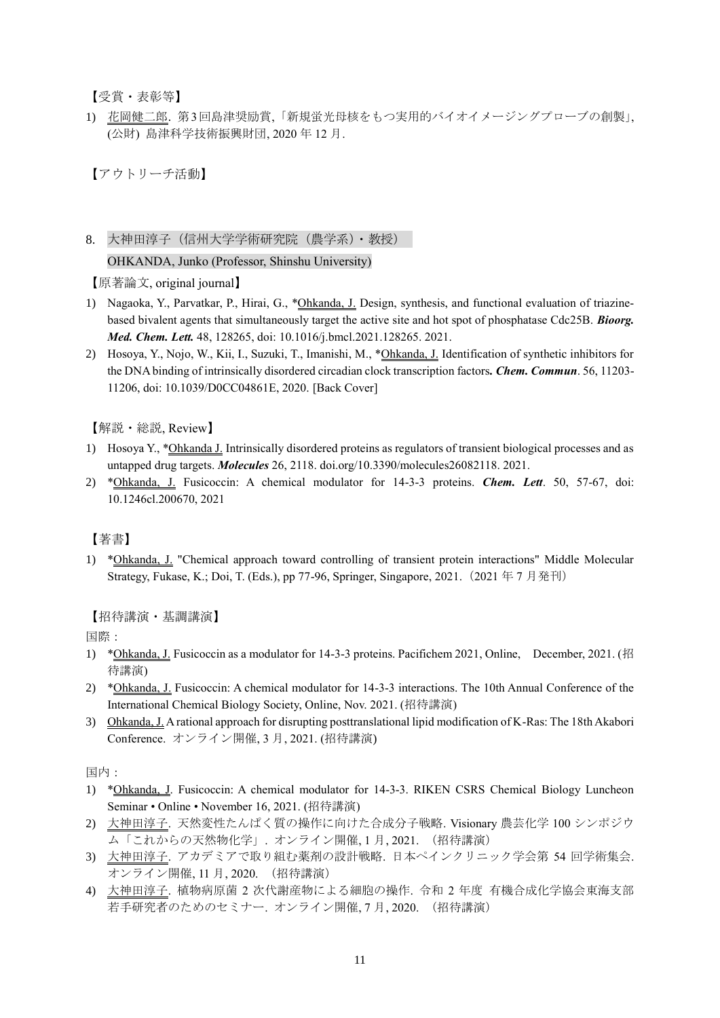【受賞・表彰等】

1) 花岡健二郎. 第3回島津奨励賞,「新規蛍光母核をもつ実用的バイオイメージングプローブの創製」, (公財) 島津科学技術振興財団, 2020 年 12 月.

【アウトリーチ活動】

8. 大神田淳子(信州大学学術研究院(農学系)・教授)

OHKANDA, Junko (Professor, Shinshu University)

【原著論文, original journal】

- 1) Nagaoka, Y., Parvatkar, P., Hirai, G., \*Ohkanda, J. Design, synthesis, and functional evaluation of triazinebased bivalent agents that simultaneously target the active site and hot spot of phosphatase Cdc25B. *Bioorg. Med. Chem. Lett.* 48, 128265, doi: 10.1016/j.bmcl.2021.128265. 2021.
- 2) Hosoya, Y., Nojo, W., Kii, I., Suzuki, T., Imanishi, M., \*Ohkanda, J. Identification of synthetic inhibitors for the DNA binding of intrinsically disordered circadian clock transcription factors*. Chem. Commun*. 56, 11203- 11206, doi: 10.1039/D0CC04861E, 2020. [Back Cover]

【解説・総説, Review】

- 1) Hosoya Y., \*Ohkanda J. Intrinsically disordered proteins as regulators of transient biological processes and as untapped drug targets. *Molecules* 26, 2118. doi.org/10.3390/molecules26082118. 2021.
- 2) \*Ohkanda, J. Fusicoccin: A chemical modulator for 14-3-3 proteins. *Chem. Lett*. 50, 57-67, doi: 10.1246cl.200670, 2021

# 【著書】

1) \*Ohkanda, J. "Chemical approach toward controlling of transient protein interactions" Middle Molecular Strategy, Fukase, K.; Doi, T. (Eds.), pp 77-96, Springer, Singapore, 2021.(2021 年 7 月発刊)

### 【招待講演・基調講演】

国際:

- 1) \*Ohkanda, J. Fusicoccin as a modulator for 14-3-3 proteins. Pacifichem 2021, Online, December, 2021. (招 待講演)
- 2) \*Ohkanda, J. Fusicoccin: A chemical modulator for 14-3-3 interactions. The 10th Annual Conference of the International Chemical Biology Society, Online, Nov. 2021. (招待講演)
- 3) Ohkanda, J. A rational approach for disrupting posttranslational lipid modification of K-Ras: The 18th Akabori Conference. オンライン開催, 3 月, 2021. (招待講演)

国内:

- 1) \*Ohkanda, J. Fusicoccin: A chemical modulator for 14-3-3. RIKEN CSRS Chemical Biology Luncheon Seminar • Online • November 16, 2021. (招待講演)
- 2) 大神田淳子. 天然変性たんぱく質の操作に向けた合成分子戦略. Visionary 農芸化学 100 シンポジウ ム「これからの天然物化学」. オンライン開催, 1 月, 2021. (招待講演)
- 3) 大神田淳子. アカデミアで取り組む薬剤の設計戦略. 日本ペインクリニック学会第 54 回学術集会. オンライン開催, 11 月, 2020. (招待講演)
- 4) 大神田淳子. 植物病原菌 2 次代謝産物による細胞の操作. 令和 2 年度 有機合成化学協会東海支部 若手研究者のためのセミナー. オンライン開催, 7 月, 2020. (招待講演)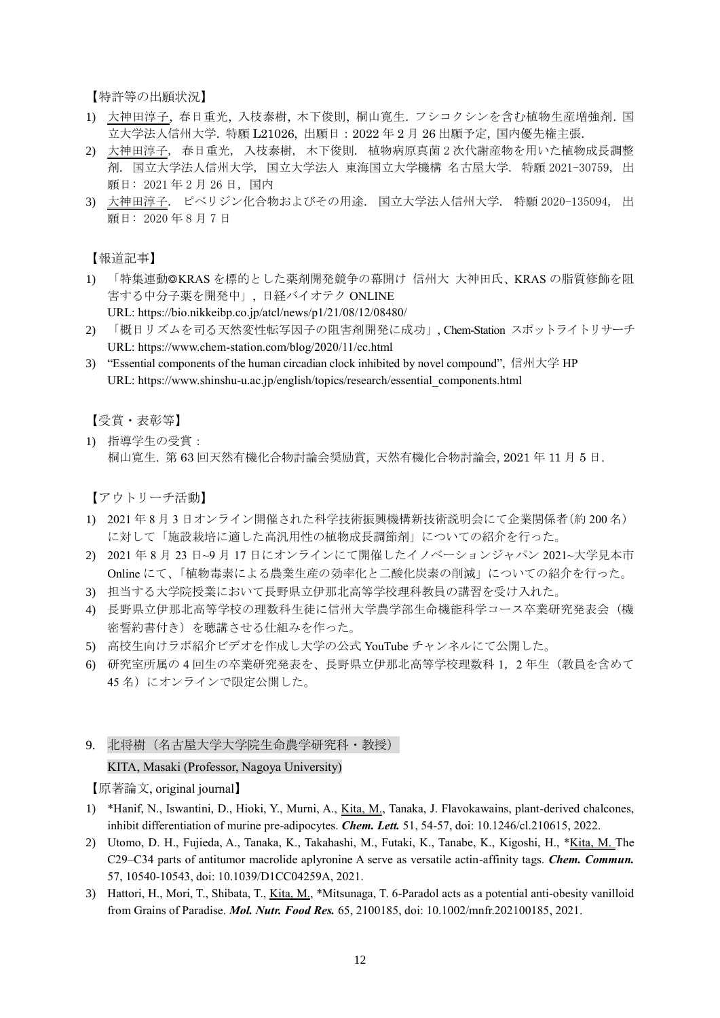【特許等の出願状況】

- 1) 大神田淳子, 春日重光, 入枝泰樹, 木下俊則, 桐山寛生. フシコクシンを含む植物生産増強剤. 国 立大学法人信州大学. 特願 L21026, 出願日:2022 年 2 月 26 出願予定, 国内優先権主張.
- 2) 大神田淳子, 春日重光, 入枝泰樹, 木下俊則. 植物病原真菌 2 次代謝産物を用いた植物成長調整 剤. 国立大学法人信州大学, 国立大学法人 東海国立大学機構 名古屋大学. 特願 2021-30759, 出 願日: 2021 年 2 月 26 日, 国内
- 3) 大神田淳子. ピペリジン化合物およびその用途. 国立大学法人信州大学. 特願 2020-135094, 出 願日: 2020 年 8 月 7 日

【報道記事】

- 1) 「特集連動◎KRAS を標的とした薬剤開発競争の幕開け 信州大 大神田氏、KRAS の脂質修飾を阻 害する中分子薬を開発中」, 日経バイオテク ONLINE URL: https://bio.nikkeibp.co.jp/atcl/news/p1/21/08/12/08480/
- 2) 「概日リズムを司る天然変性転写因子の阻害剤開発に成功」, Chem-Station スポットライトリサーチ URL: https://www.chem-station.com/blog/2020/11/cc.html
- 3) "Essential components of the human circadian clock inhibited by novel compound", 信州大学 HP URL: https://www.shinshu-u.ac.jp/english/topics/research/essential\_components.html

【受賞・表彰等】

1) 指導学生の受賞: 桐山寛生. 第 63 回天然有機化合物討論会奨励賞, 天然有機化合物討論会, 2021 年 11 月 5 日.

【アウトリーチ活動】

- 1) 2021 年 8 月 3 日オンライン開催された科学技術振興機構新技術説明会にて企業関係者(約 200 名) に対して「施設栽培に適した高汎用性の植物成長調節剤」についての紹介を行った。
- 2) 2021 年 8 月 23 日~9 月 17 日にオンラインにて開催したイノベーションジャパン 2021~大学見本市 Online にて、「植物毒素による農業生産の効率化と二酸化炭素の削減」についての紹介を行った。
- 3) 担当する大学院授業において長野県立伊那北高等学校理科教員の講習を受け入れた。
- 4) 長野県立伊那北高等学校の理数科生徒に信州大学農学部生命機能科学コース卒業研究発表会(機 密誓約書付き)を聴講させる仕組みを作った。
- 5) 高校生向けラボ紹介ビデオを作成し大学の公式 YouTube チャンネルにて公開した。
- 6) 研究室所属の 4 回生の卒業研究発表を、長野県立伊那北高等学校理数科 1,2 年生(教員を含めて 45 名)にオンラインで限定公開した。
- 9. 北将樹(名古屋大学大学院生命農学研究科・教授)

#### KITA, Masaki (Professor, Nagoya University)

- 1) \*Hanif, N., Iswantini, D., Hioki, Y., Murni, A., Kita, M., Tanaka, J. Flavokawains, plant-derived chalcones, inhibit differentiation of murine pre-adipocytes. *Chem. Lett.* 51, 54-57, doi: 10.1246/cl.210615, 2022.
- 2) Utomo, D. H., Fujieda, A., Tanaka, K., Takahashi, M., Futaki, K., Tanabe, K., Kigoshi, H., \*Kita, M. The C29–C34 parts of antitumor macrolide aplyronine A serve as versatile actin-affinity tags. *Chem. Commun.*  57, 10540-10543, doi: 10.1039/D1CC04259A, 2021.
- 3) Hattori, H., Mori, T., Shibata, T., Kita, M., \*Mitsunaga, T. 6-Paradol acts as a potential anti-obesity vanilloid from Grains of Paradise. *Mol. Nutr. Food Res.* 65, 2100185, doi: 10.1002/mnfr.202100185, 2021.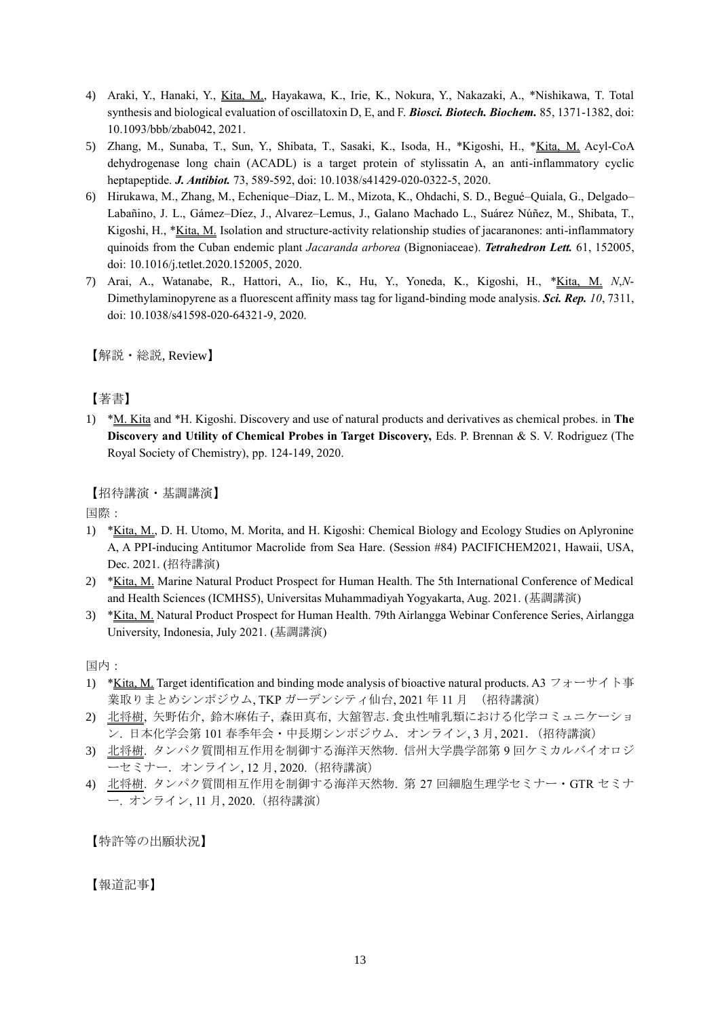- 4) Araki, Y., Hanaki, Y., Kita, M., Hayakawa, K., Irie, K., Nokura, Y., Nakazaki, A., \*Nishikawa, T. Total synthesis and biological evaluation of oscillatoxin D, E, and F. *Biosci. Biotech. Biochem.* 85, 1371-1382, doi: 10.1093/bbb/zbab042, 2021.
- 5) Zhang, M., Sunaba, T., Sun, Y., Shibata, T., Sasaki, K., Isoda, H., \*Kigoshi, H., \*Kita, M. Acyl-CoA dehydrogenase long chain (ACADL) is a target protein of stylissatin A, an anti-inflammatory cyclic heptapeptide. *J. Antibiot.* 73, 589-592, doi: 10.1038/s41429-020-0322-5, 2020.
- 6) Hirukawa, M., Zhang, M., Echenique–Diaz, L. M., Mizota, K., Ohdachi, S. D., Begué–Quiala, G., Delgado– Labañino, J. L., Gámez–Díez, J., Alvarez–Lemus, J., Galano Machado L., Suárez Núñez, M., Shibata, T., Kigoshi, H., \*Kita, M. Isolation and structure-activity relationship studies of jacaranones: anti-inflammatory quinoids from the Cuban endemic plant *Jacaranda arborea* (Bignoniaceae). *Tetrahedron Lett.* 61, 152005, doi: 10.1016/j.tetlet.2020.152005, 2020.
- 7) Arai, A., Watanabe, R., Hattori, A., Iio, K., Hu, Y., Yoneda, K., Kigoshi, H., \*Kita, M. *N*,*N*-Dimethylaminopyrene as a fluorescent affinity mass tag for ligand-binding mode analysis. *Sci. Rep. 10*, 7311, doi: 10.1038/s41598-020-64321-9, 2020.

【解説・総説, Review】

【著書】

1) \*M. Kita and \*H. Kigoshi. Discovery and use of natural products and derivatives as chemical probes. in **The Discovery and Utility of Chemical Probes in Target Discovery,** Eds. P. Brennan & S. V. Rodriguez (The Royal Society of Chemistry), pp. 124-149, 2020.

【招待講演・基調講演】

国際:

- 1) \*Kita, M., D. H. Utomo, M. Morita, and H. Kigoshi: Chemical Biology and Ecology Studies on Aplyronine A, A PPI-inducing Antitumor Macrolide from Sea Hare. (Session #84) PACIFICHEM2021, Hawaii, USA, Dec. 2021. (招待講演)
- 2) \*Kita, M. Marine Natural Product Prospect for Human Health. The 5th International Conference of Medical and Health Sciences (ICMHS5), Universitas Muhammadiyah Yogyakarta, Aug. 2021. (基調講演)
- 3) \*Kita, M. Natural Product Prospect for Human Health. 79th Airlangga Webinar Conference Series, Airlangga University, Indonesia, July 2021. (基調講演)

国内:

- 1) \*Kita, M. Target identification and binding mode analysis of bioactive natural products. A3 フォーサイト事 業取りまとめシンポジウム, TKP ガーデンシティ仙台, 2021 年11月 (招待講演)
- 2) 北将樹, 矢野佑介, 鈴木麻佑子, 森田真布, 大舘智志.食虫性哺乳類における化学コミュニケーショ ン. 日本化学会第101春季年会·中長期シンポジウム. オンライン, 3月, 2021. (招待講演)
- 3) 北将樹. タンパク質間相互作用を制御する海洋天然物. 信州大学農学部第 9 回ケミカルバイオロジ ーセミナー.オンライン, 12 月, 2020.(招待講演)
- 4) 北将樹. タンパク質間相互作用を制御する海洋天然物. 第 27 回細胞生理学セミナー・GTR セミナ ー. オンライン, 11 月, 2020.(招待講演)

【特許等の出願状況】

【報道記事】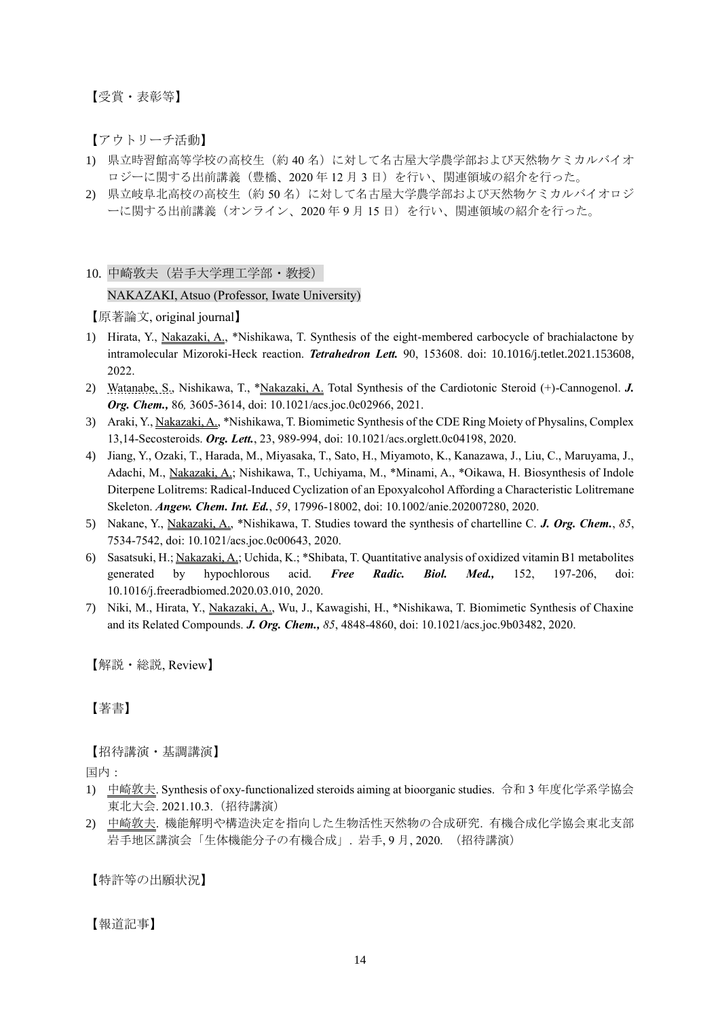【受賞・表彰等】

【アウトリーチ活動】

- 1) 県立時習館高等学校の高校生(約 40 名)に対して名古屋大学農学部および天然物ケミカルバイオ ロジーに関する出前講義(豊橋、2020年12月3日)を行い、関連領域の紹介を行った。
- 2) 県立岐阜北高校の高校生(約50名)に対して名古屋大学農学部および天然物ケミカルバイオロジ ーに関する出前講義(オンライン、2020年9月15日)を行い、関連領域の紹介を行った。

10. 中崎敦夫(岩手大学理工学部・教授)

### NAKAZAKI, Atsuo (Professor, Iwate University)

【原著論文, original journal】

- 1) Hirata, Y., Nakazaki, A., \*Nishikawa, T. Synthesis of the eight-membered carbocycle of brachialactone by intramolecular Mizoroki-Heck reaction. *Tetrahedron Lett.* 90, 153608. do[i: 10.1016/j.tetlet.2021.153608,](https://doi.org/10.1016/j.tetlet.2021.153608) 2022.
- 2) Watanabe, S., Nishikawa, T., \*Nakazaki, A. Total Synthesis of the Cardiotonic Steroid (+)-Cannogenol. *J. Org. Chem.,* 86*,* 3605-3614, doi: 10.1021/acs.joc.0c02966, 2021.
- 3) Araki, Y., Nakazaki, A., \*Nishikawa, T. Biomimetic Synthesis of the CDE Ring Moiety of Physalins, Complex 13,14-Secosteroids. *Org. Lett.*, 23, 989-994, doi: 10.1021/acs.orglett.0c04198, 2020.
- 4) Jiang, Y., Ozaki, T., Harada, M., Miyasaka, T., Sato, H., Miyamoto, K., Kanazawa, J., Liu, C., Maruyama, J., Adachi, M., Nakazaki, A.; Nishikawa, T., Uchiyama, M., \*Minami, A., \*Oikawa, H. Biosynthesis of Indole Diterpene Lolitrems: Radical-Induced Cyclization of an Epoxyalcohol Affording a Characteristic Lolitremane Skeleton. *Angew. Chem. Int. Ed.*, *59*, 17996-18002, doi: 10.1002/anie.202007280, 2020.
- 5) Nakane, Y., Nakazaki, A., \*Nishikawa, T. Studies toward the synthesis of chartelline C. *J. Org. Chem.*, *85*, 7534-7542, doi: 10.1021/acs.joc.0c00643, 2020.
- 6) Sasatsuki, H.; Nakazaki, A.; Uchida, K.; \*Shibata, T. Quantitative analysis of oxidized vitamin B1 metabolites generated by hypochlorous acid. *Free Radic. Biol. Med.,* 152, 197-206, doi: 10.1016/j.freeradbiomed.2020.03.010, 2020.
- 7) Niki, M., Hirata, Y., Nakazaki, A., Wu, J., Kawagishi, H., \*Nishikawa, T. Biomimetic Synthesis of Chaxine and its Related Compounds. *J. Org. Chem., 85*, 4848-4860, doi: 10.1021/acs.joc.9b03482, 2020.

【解説・総説, Review】

【著書】

【招待講演・基調講演】

国内:

- 1) 中崎敦夫. Synthesis of oxy-functionalized steroids aiming at bioorganic studies. 令和 3 年度化学系学協会 東北大会. 2021.10.3.(招待講演)
- 2) 中崎敦夫. 機能解明や構造決定を指向した生物活性天然物の合成研究. 有機合成化学協会東北支部 岩手地区講演会「生体機能分子の有機合成」. 岩手, 9 月, 2020. (招待講演)

【特許等の出願状況】

【報道記事】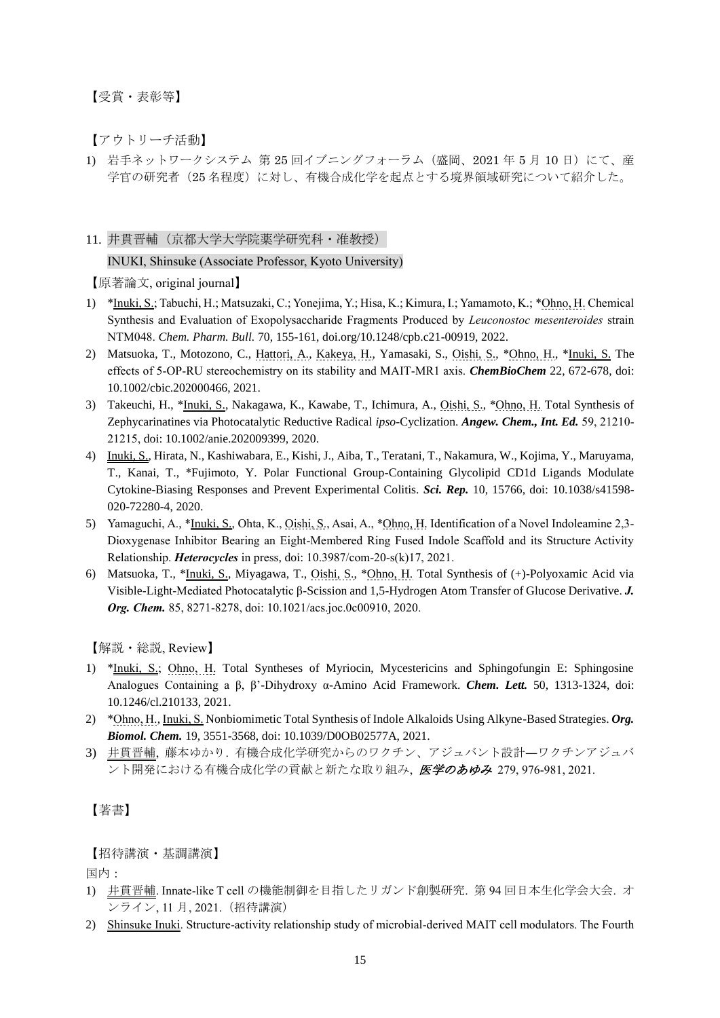【受賞・表彰等】

【アウトリーチ活動】

1) 岩手ネットワークシステム 第 25 回イブニングフォーラム (盛岡、2021年5月10日)にて、産 学官の研究者(25 名程度)に対し、有機合成化学を起点とする境界領域研究について紹介した。

### 11. 井貫晋輔(京都大学大学院薬学研究科・准教授)

INUKI, Shinsuke (Associate Professor, Kyoto University)

【原著論文, original journal】

- 1) \*Inuki, S.; Tabuchi, H.; Matsuzaki, C.; Yonejima, Y.; Hisa, K.; Kimura, I.; Yamamoto, K.; \*Ohno, H. Chemical Synthesis and Evaluation of Exopolysaccharide Fragments Produced by *Leuconostoc mesenteroides* strain NTM048. *Chem. Pharm. Bull.* 70, 155-161, doi.org/10.1248/cpb.c21-00919, 2022.
- 2) Matsuoka, T., Motozono, C., Hattori, A., Kakeya, H., Yamasaki, S., Oishi, S., \*Ohno, H., \*Inuki, S. The effects of 5‐OP‐RU stereochemistry on its stability and MAIT‐MR1 axis. *ChemBioChem* 22, 672-678, doi: 10.1002/cbic.202000466, 2021.
- 3) Takeuchi, H., \*Inuki, S., Nakagawa, K., Kawabe, T., Ichimura, A., Oishi, S., \*Ohno, H. Total Synthesis of Zephycarinatines via Photocatalytic Reductive Radical *ipso*-Cyclization. *Angew. Chem., Int. Ed.* 59, 21210- 21215, doi: 10.1002/anie.202009399, 2020.
- 4) Inuki, S., Hirata, N., Kashiwabara, E., Kishi, J., Aiba, T., Teratani, T., Nakamura, W., Kojima, Y., Maruyama, T., Kanai, T., \*Fujimoto, Y. Polar Functional Group-Containing Glycolipid CD1d Ligands Modulate Cytokine-Biasing Responses and Prevent Experimental Colitis. *Sci. Rep.* 10, 15766, doi: 10.1038/s41598- 020-72280-4, 2020.
- 5) Yamaguchi, A., \*Inuki, S., Ohta, K., Oishi, S., Asai, A., \*Ohno, H. Identification of a Novel Indoleamine 2,3- Dioxygenase Inhibitor Bearing an Eight-Membered Ring Fused Indole Scaffold and its Structure Activity Relationship. *Heterocycles* in press, doi: 10.3987/com-20-s(k)17, 2021.
- 6) Matsuoka, T., \*Inuki, S., Miyagawa, T., Oishi, S., \*Ohno, H. Total Synthesis of (+)-Polyoxamic Acid via Visible-Light-Mediated Photocatalytic β-Scission and 1,5-Hydrogen Atom Transfer of Glucose Derivative. *J. Org. Chem.* 85, 8271-8278, doi: 10.1021/acs.joc.0c00910, 2020.

【解説・総説, Review】

- 1) \*Inuki, S.; Ohno, H. Total Syntheses of Myriocin, Mycestericins and Sphingofungin E: Sphingosine Analogues Containing a β, β'-Dihydroxy α-Amino Acid Framework. *Chem. Lett.* 50, 1313-1324, doi: 10.1246/cl.210133, 2021.
- 2) \*Ohno, H., Inuki, S. Nonbiomimetic Total Synthesis of Indole Alkaloids Using Alkyne-Based Strategies. *Org. Biomol. Chem.* 19, 3551-3568, doi: 10.1039/D0OB02577A, 2021.
- 3) 井貫晋輔, 藤本ゆかり. 有機合成化学研究からのワクチン、アジュバント設計―ワクチンアジュバ ント開発における有機合成化学の貢献と新たな取り組み、*医学のあゆみ* 279,976-981,2021.

【著書】

【招待講演・基調講演】

国内:

- 1) 井貫晋輔. Innate-like T cell の機能制御を目指したリガンド創製研究. 第 94 回日本生化学会大会. オ ンライン, 11 月, 2021.(招待講演)
- 2) Shinsuke Inuki. Structure-activity relationship study of microbial-derived MAIT cell modulators. The Fourth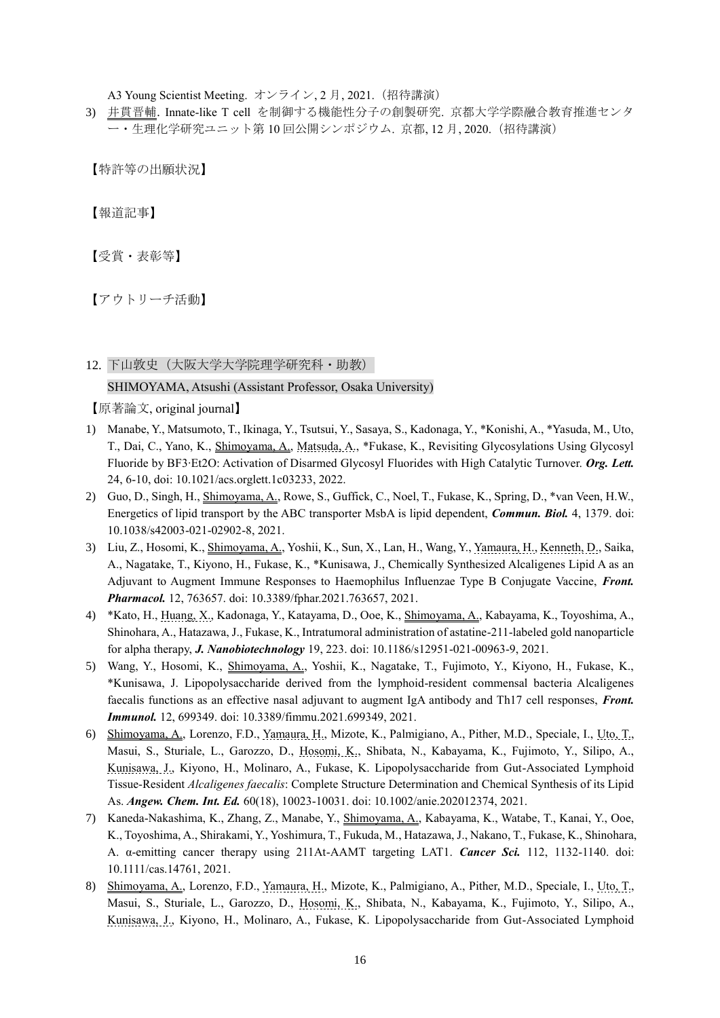A3 Young Scientist Meeting. オンライン, 2月, 2021. (招待講演)

3) 井貫晋輔. Innate-like T cell を制御する機能性分子の創製研究. 京都大学学際融合教育推進センタ ー・生理化学研究ユニット第 10 回公開シンポジウム. 京都, 12 月, 2020.(招待講演)

【特許等の出願状況】

【報道記事】

【受賞・表彰等】

【アウトリーチ活動】

# 12. 下山敦史(大阪大学大学院理学研究科・助教)

### SHIMOYAMA, Atsushi (Assistant Professor, Osaka University)

- 1) Manabe, Y., Matsumoto, T., Ikinaga, Y., Tsutsui, Y., Sasaya, S., Kadonaga, Y., \*Konishi, A., \*Yasuda, M., Uto, T., Dai, C., Yano, K., Shimoyama, A., Matsuda, A., \*Fukase, K., Revisiting Glycosylations Using Glycosyl Fluoride by BF3∙Et2O: Activation of Disarmed Glycosyl Fluorides with High Catalytic Turnover. *Org. Lett.* 24, 6-10, doi: 10.1021/acs.orglett.1c03233, 2022.
- 2) Guo, D., Singh, H., Shimoyama, A., Rowe, S., Guffick, C., Noel, T., Fukase, K., Spring, D., \*van Veen, H.W., Energetics of lipid transport by the ABC transporter MsbA is lipid dependent, *Commun. Biol.* 4, 1379. doi: 10.1038/s42003-021-02902-8, 2021.
- 3) Liu, Z., Hosomi, K., Shimoyama, A., Yoshii, K., Sun, X., Lan, H., Wang, Y., Yamaura, H., Kenneth, D., Saika, A., Nagatake, T., Kiyono, H., Fukase, K., \*Kunisawa, J., Chemically Synthesized Alcaligenes Lipid A as an Adjuvant to Augment Immune Responses to Haemophilus Influenzae Type B Conjugate Vaccine, *Front. Pharmacol.* 12, 763657. doi: 10.3389/fphar.2021.763657, 2021.
- 4) \*Kato, H., Huang, X., Kadonaga, Y., Katayama, D., Ooe, K., Shimoyama, A., Kabayama, K., Toyoshima, A., Shinohara, A., Hatazawa, J., Fukase, K., Intratumoral administration of astatine-211-labeled gold nanoparticle for alpha therapy, *J. Nanobiotechnology* 19, 223. doi: 10.1186/s12951-021-00963-9, 2021.
- 5) Wang, Y., Hosomi, K., Shimoyama, A., Yoshii, K., Nagatake, T., Fujimoto, Y., Kiyono, H., Fukase, K., \*Kunisawa, J. Lipopolysaccharide derived from the lymphoid-resident commensal bacteria Alcaligenes faecalis functions as an effective nasal adjuvant to augment IgA antibody and Th17 cell responses, *Front. Immunol.* 12, 699349. doi: 10.3389/fimmu.2021.699349, 2021.
- 6) Shimoyama, A., Lorenzo, F.D., Yamaura, H., Mizote, K., Palmigiano, A., Pither, M.D., Speciale, I., Uto, T., Masui, S., Sturiale, L., Garozzo, D., Hosomi, K., Shibata, N., Kabayama, K., Fujimoto, Y., Silipo, A., Kunisawa, J., Kiyono, H., Molinaro, A., Fukase, K. Lipopolysaccharide from Gut-Associated Lymphoid Tissue-Resident *Alcaligenes faecalis*: Complete Structure Determination and Chemical Synthesis of its Lipid As. *Angew. Chem. Int. Ed.* 60(18), 10023-10031. doi: 10.1002/anie.202012374, 2021.
- 7) Kaneda-Nakashima, K., Zhang, Z., Manabe, Y., Shimoyama, A., Kabayama, K., Watabe, T., Kanai, Y., Ooe, K., Toyoshima, A., Shirakami, Y., Yoshimura, T., Fukuda, M., Hatazawa, J., Nakano, T., Fukase, K., Shinohara, A. α-emitting cancer therapy using 211At-AAMT targeting LAT1. *Cancer Sci.* 112, 1132-1140. doi: 10.1111/cas.14761, 2021.
- 8) Shimoyama, A., Lorenzo, F.D., Yamaura, H., Mizote, K., Palmigiano, A., Pither, M.D., Speciale, I., Uto, T., Masui, S., Sturiale, L., Garozzo, D., Hosomi, K., Shibata, N., Kabayama, K., Fujimoto, Y., Silipo, A., Kunisawa, J., Kiyono, H., Molinaro, A., Fukase, K. Lipopolysaccharide from Gut-Associated Lymphoid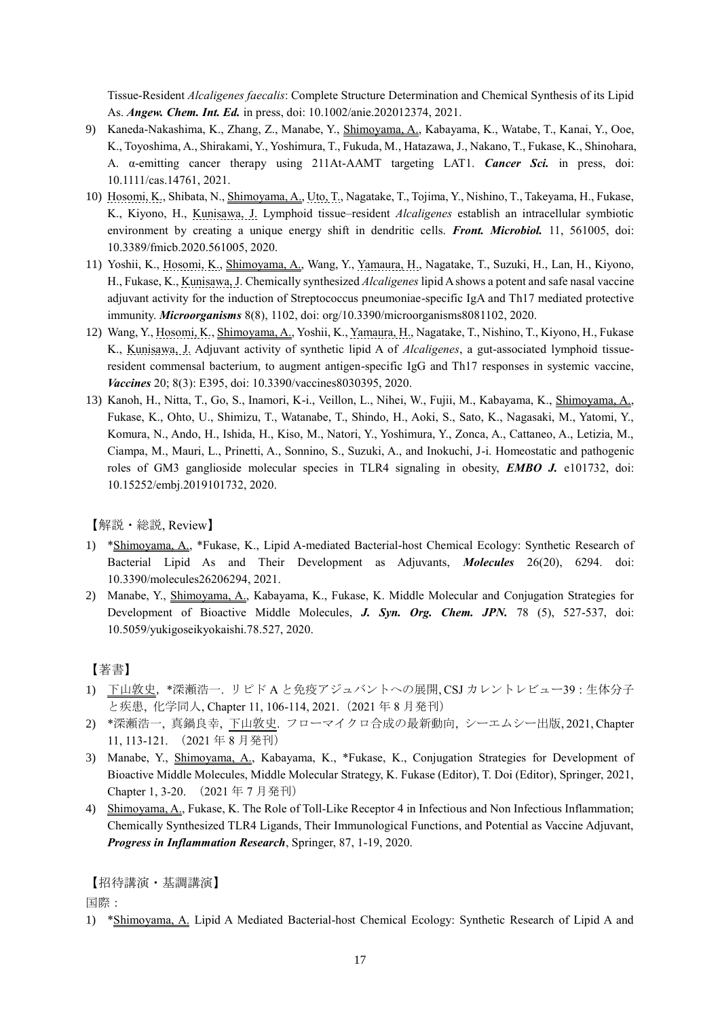Tissue-Resident *Alcaligenes faecalis*: Complete Structure Determination and Chemical Synthesis of its Lipid As. *Angew. Chem. Int. Ed.* in press, doi: 10.1002/anie.202012374, 2021.

- 9) Kaneda-Nakashima, K., Zhang, Z., Manabe, Y., Shimoyama, A., Kabayama, K., Watabe, T., Kanai, Y., Ooe, K., Toyoshima, A., Shirakami, Y., Yoshimura, T., Fukuda, M., Hatazawa, J., Nakano, T., Fukase, K., Shinohara, A. α-emitting cancer therapy using 211At-AAMT targeting LAT1. *Cancer Sci.* in press, doi: 10.1111/cas.14761, 2021.
- 10) Hosomi, K., Shibata, N., Shimoyama, A., Uto, T., Nagatake, T., Tojima, Y., Nishino, T., Takeyama, H., Fukase, K., Kiyono, H., Kunisawa, J. Lymphoid tissue–resident *Alcaligenes* establish an intracellular symbiotic environment by creating a unique energy shift in dendritic cells. *Front. Microbiol.* 11, 561005, doi: 10.3389/fmicb.2020.561005, 2020.
- 11) Yoshii, K., Hosomi, K., Shimoyama, A., Wang, Y., Yamaura, H., Nagatake, T., Suzuki, H., Lan, H., Kiyono, H., Fukase, K., Kunisawa, J. Chemically synthesized *Alcaligenes* lipid A shows a potent and safe nasal vaccine adjuvant activity for the induction of Streptococcus pneumoniae-specific IgA and Th17 mediated protective immunity. *Microorganisms* 8(8), 1102, doi: org/10.3390/microorganisms8081102, 2020.
- 12) Wang, Y., Hosomi, K., Shimoyama, A., Yoshii, K., Yamaura, H., Nagatake, T., Nishino, T., Kiyono, H., Fukase K., Kunisawa, J. Adjuvant activity of synthetic lipid A of *Alcaligenes*, a gut-associated lymphoid tissueresident commensal bacterium, to augment antigen-specific IgG and Th17 responses in systemic vaccine, *Vaccines* 20; 8(3): E395, doi: 10.3390/vaccines8030395, 2020.
- 13) Kanoh, H., Nitta, T., Go, S., Inamori, K-i., Veillon, L., Nihei, W., Fujii, M., Kabayama, K., Shimoyama, A., Fukase, K., Ohto, U., Shimizu, T., Watanabe, T., Shindo, H., Aoki, S., Sato, K., Nagasaki, M., Yatomi, Y., Komura, N., Ando, H., Ishida, H., Kiso, M., Natori, Y., Yoshimura, Y., Zonca, A., Cattaneo, A., Letizia, M., Ciampa, M., Mauri, L., Prinetti, A., Sonnino, S., Suzuki, A., and Inokuchi, J-i. Homeostatic and pathogenic roles of GM3 ganglioside molecular species in TLR4 signaling in obesity, *EMBO J.* e101732, doi: 10.15252/embj.2019101732, 2020.

【解説・総説, Review】

- 1) \*Shimoyama, A., \*Fukase, K., Lipid A-mediated Bacterial-host Chemical Ecology: Synthetic Research of Bacterial Lipid As and Their Development as Adjuvants, *Molecules* 26(20), 6294. doi: 10.3390/molecules26206294, 2021.
- 2) Manabe, Y., Shimoyama, A., Kabayama, K., Fukase, K. Middle Molecular and Conjugation Strategies for Development of Bioactive Middle Molecules, *J. Syn. Org. Chem. JPN.* 78 (5), 527-537, doi: 10.5059/yukigoseikyokaishi.78.527, 2020.

# 【著書】

- 1) 下山敦史,\*深瀬浩一. リピド A と免疫アジュバントへの展開, CSJ カレントレビュー39:生体分子 と疾患, 化学同人, Chapter 11, 106-114, 2021.(2021 年 8 月発刊)
- 2) \*深瀬浩一, 真鍋良幸, 下山敦史. フローマイクロ合成の最新動向, シーエムシー出版, 2021, Chapter 11, 113-121. (2021 年 8 月発刊)
- 3) Manabe, Y., Shimoyama, A., Kabayama, K., \*Fukase, K., Conjugation Strategies for Development of Bioactive Middle Molecules, Middle Molecular Strategy, K. Fukase (Editor), T. Doi (Editor), Springer, 2021, Chapter 1, 3-20. (2021 年 7 月発刊)
- 4) Shimoyama, A., Fukase, K. The Role of Toll-Like Receptor 4 in Infectious and Non Infectious Inflammation; Chemically Synthesized TLR4 Ligands, Their Immunological Functions, and Potential as Vaccine Adjuvant, *Progress in Inflammation Research*, Springer, 87, 1-19, 2020.

【招待講演・基調講演】

国際:

1) \*Shimoyama, A. Lipid A Mediated Bacterial-host Chemical Ecology: Synthetic Research of Lipid A and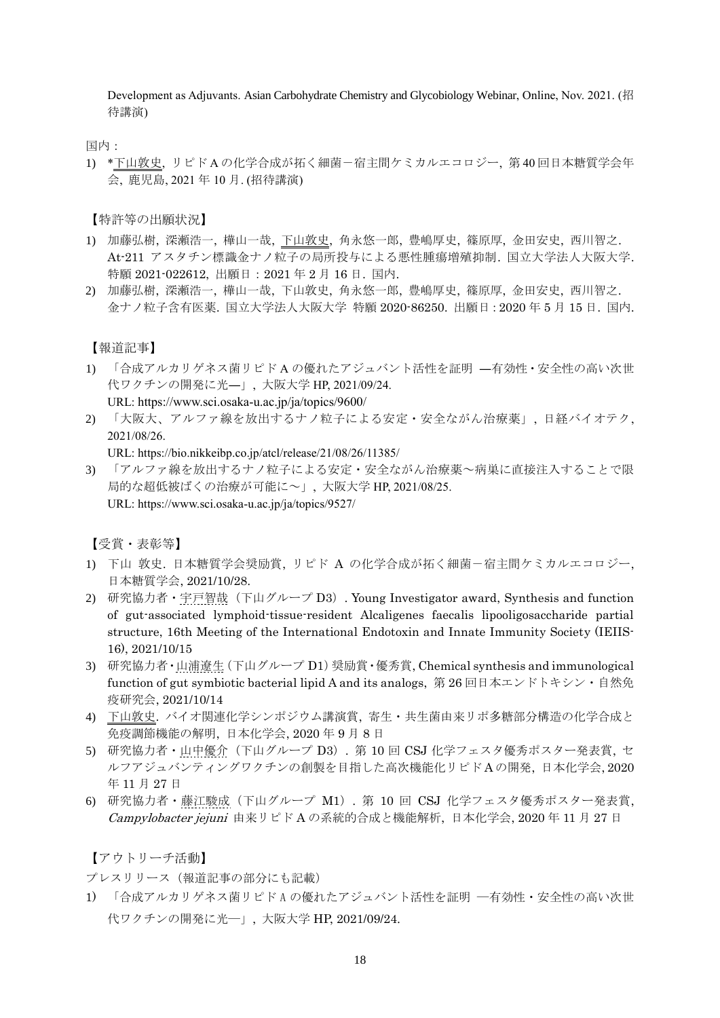Development as Adjuvants. Asian Carbohydrate Chemistry and Glycobiology Webinar, Online, Nov. 2021. (招 待講演)

国内:

1) \*下山敦史, リピド A の化学合成が拓く細菌-宿主間ケミカルエコロジー, 第 40 回日本糖質学会年 会, 鹿児島, 2021 年 10 月. (招待講演)

【特許等の出願状況】

- 1) 加藤弘樹, 深瀬浩一, 樺山一哉, 下山敦史, 角永悠一郎, 豊嶋厚史, 篠原厚, 金田安史, 西川智之. At-211 アスタチン標識金ナノ粒子の局所投与による悪性腫瘍増殖抑制. 国立大学法人大阪大学. 特願 2021-022612, 出願日:2021 年 2 月 16 日. 国内.
- 2) 加藤弘樹, 深瀬浩一, 樺山一哉, 下山敦史, 角永悠一郎, 豊嶋厚史, 篠原厚, 金田安史, 西川智之. 金ナノ粒子含有医薬. 国立大学法人大阪大学 特願 2020-86250. 出願日:2020 年 5 月 15 日. 国内.

【報道記事】

- 1) 「合成アルカリゲネス菌リピド A の優れたアジュバント活性を証明 ―有効性・安全性の高い次世 代ワクチンの開発に光―」, 大阪大学 HP, 2021/09/24. URL: https://www.sci.osaka-u.ac.jp/ja/topics/9600/
- 2) 「大阪大、アルファ線を放出するナノ粒子による安定・安全ながん治療薬」, 日経バイオテク, 2021/08/26.

URL: https://bio.nikkeibp.co.jp/atcl/release/21/08/26/11385/

3) 「アルファ線を放出するナノ粒子による安定・安全ながん治療薬~病巣に直接注入することで限 局的な超低被ばくの治療が可能に~」, 大阪大学 HP, 2021/08/25. URL: https://www.sci.osaka-u.ac.jp/ja/topics/9527/

【受賞・表彰等】

- 1) 下山 敦史. 日本糖質学会奨励賞, リピド A の化学合成が拓く細菌-宿主間ケミカルエコロジー, 日本糖質学会, 2021/10/28.
- 2) 研究協力者・宇戸智哉(下山グループ D3). Young Investigator award, Synthesis and function of gut-associated lymphoid-tissue-resident Alcaligenes faecalis lipooligosaccharide partial structure, 16th Meeting of the International Endotoxin and Innate Immunity Society (IEIIS-16), 2021/10/15
- 3) 研究協力者·山浦遼生 (下山グループ D1) 奨励賞·優秀賞, Chemical synthesis and immunological function of gut symbiotic bacterial lipid A and its analogs, 第 26 回日本エンドトキシン・自然免 疫研究会, 2021/10/14
- 4) 下山敦史. バイオ関連化学シンポジウム講演賞, 寄生・共生菌由来リポ多糖部分構造の化学合成と 免疫調節機能の解明, 日本化学会, 2020 年 9 月 8 日
- 5) 研究協力者・山中優介(下山グループ D3). 第 10 回 CSJ 化学フェスタ優秀ポスター発表賞, セ ルフアジュバンティングワクチンの創製を目指した高次機能化リピド A の開発, 日本化学会, 2020 年 11 月 27 日
- 6) 研究協力者・藤江駿成(下山グループ M1). 第 10 回 CSJ 化学フェスタ優秀ポスター発表賞, Campylobacter jejuni 由来リピド A の系統的合成と機能解析, 日本化学会, 2020 年 11 月 27 日

【アウトリーチ活動】

プレスリリース(報道記事の部分にも記載)

1) 「合成アルカリゲネス菌リピド A の優れたアジュバント活性を証明 ―有効性・安全性の高い次世 代ワクチンの開発に光―」, 大阪大学 HP, 2021/09/24.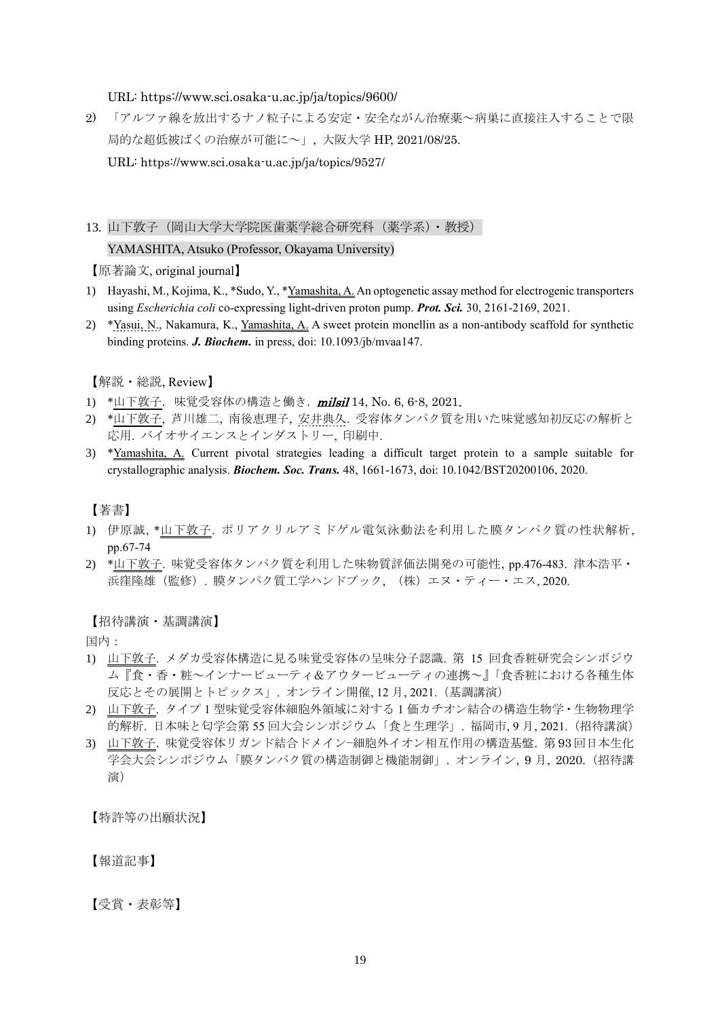URL: https://www.sci.osaka-u.ac.jp/ja/topics/9600/

2) 「アルファ線を放出するナノ粒子による安定・安全ながん治療薬~病巣に直接注入することで限 局的な超低被ばくの治療が可能に~」, 大阪大学 HP, 2021/08/25.

URL: https://www.sci.osaka-u.ac.jp/ja/topics/9527/

# 13. 山下敦子(岡山大学大学院医歯薬学総合研究科(薬学系)・教授)

### YAMASHITA, Atsuko (Professor, Okayama University)

【原著論文, original journal】

- 1) Hayashi, M., Kojima, K., \*Sudo, Y., \*Yamashita, A. An optogenetic assay method for electrogenic transporters using *Escherichia coli* co-expressing light-driven proton pump. *Prot. Sci.* 30, 2161-2169, 2021.
- 2) \*Yasui, N., Nakamura, K., Yamashita, A. A sweet protein monellin as a non-antibody scaffold for synthetic binding proteins. *J. Biochem.* in press, doi: 10.1093/jb/mvaa147.

【解説・総説, Review】

- 1) \*山下敦子. 味覚受容体の構造と働き. milsil 14, No. 6, 6-8, 2021.
- 2) \*山下敦子, 芦川雄二, 南後恵理子, 安井典久. 受容体タンパク質を用いた味覚感知初反応の解析と 応用. バイオサイエンスとインダストリー, 印刷中.
- 3) \*Yamashita, A. Current pivotal strategies leading a difficult target protein to a sample suitable for crystallographic analysis. *Biochem. Soc. Trans.* 48, 1661-1673, doi: 10.1042/BST20200106, 2020.

# 【著書】

- 1) 伊原誠, \*山下敦子. ポリアクリルアミドゲル電気泳動法を利用した膜タンパク質の性状解析, pp.67-74
- 2) \*山下敦子. 味覚受容体タンパク質を利用した味物質評価法開発の可能性, pp.476-483. 津本浩平・ 浜窪隆雄(監修). 膜タンパク質工学ハンドブック, (株)エヌ・ティー・エス, 2020.

### 【招待講演・基調講演】

国内:

- 1) 山下敦子. メダカ受容体構造に見る味覚受容体の呈味分子認識. 第 15 回食香粧研究会シンボジウ ム『食・香・粧~インナービューティ&アウタービューティの連携~』「食香粧における各種生体 反応とその展開とトピックス」. オンライン開催, 12 月, 2021.(基調講演)
- 2) 山下敦子. タイプ 1 型味覚受容体細胞外領域に対する 1 価カチオン結合の構造生物学・生物物理学 的解析. 日本味と匂学会第 55 回大会シンポジウム「食と生理学」. 福岡市, 9 月, 2021.(招待講演)
- 3) 山下敦子. 味覚受容体リガンド結合ドメイン−細胞外イオン相互作用の構造基盤. 第 93 回日本生化 学会大会シンポジウム「膜タンパク質の構造制御と機能制御」. オンライン, 9 月, 2020.(招待講 演)

【特許等の出願状況】

【報道記事】

【受賞・表彰等】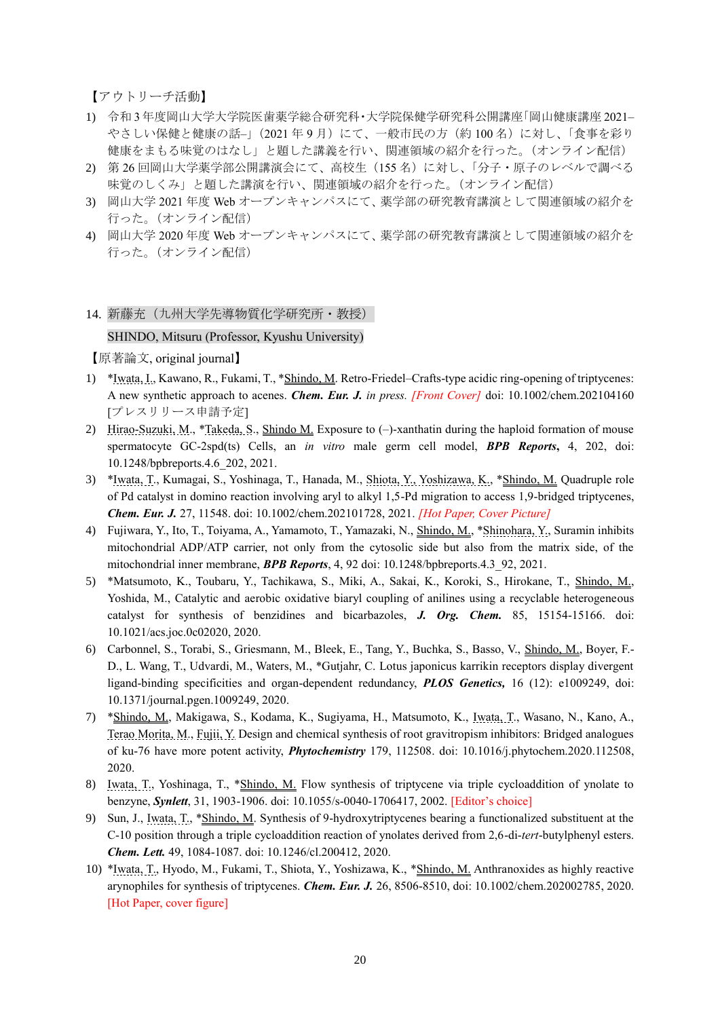【アウトリーチ活動】

- 1) 令和 3 年度岡山大学大学院医歯薬学総合研究科・大学院保健学研究科公開講座「岡山健康講座 2021– やさしい保健と健康の話–」(2021年9月)にて、一般市民の方(約100名)に対し、「食事を彩り 健康をまもる味覚のはなし」と題した講義を行い、関連領域の紹介を行った。(オンライン配信)
- 2) 第 26 回岡山大学薬学部公開講演会にて、高校生(155名)に対し、「分子・原子のレベルで調べる 味覚のしくみ」と題した講演を行い、関連領域の紹介を行った。(オンライン配信)
- 3) 岡山大学 2021 年度 Web オープンキャンパスにて、薬学部の研究教育講演として関連領域の紹介を 行った。(オンライン配信)
- 4) 岡山大学 2020 年度 Web オープンキャンパスにて、薬学部の研究教育講演として関連領域の紹介を 行った。(オンライン配信)

#### 14. 新藤充(九州大学先導物質化学研究所·教授)

### SHINDO, Mitsuru (Professor, Kyushu University)

- 1) \*Iwata, I., Kawano, R., Fukami, T., \*Shindo, M. Retro-Friedel–Crafts-type acidic ring-opening of triptycenes: A new synthetic approach to acenes. *Chem. Eur. J. in press. [Front Cover]* doi: 10.1002/chem.202104160 [プレスリリース申請予定]
- 2) Hirao-Suzuki, M., \*Takeda, S., Shindo M. Exposure to (-)-xanthatin during the haploid formation of mouse spermatocyte GC-2spd(ts) Cells, an *in vitro* male germ cell model, *BPB Reports***,** 4, 202, doi: 10.1248/bpbreports.4.6\_202, 2021.
- 3) \*Iwata, T., Kumagai, S., Yoshinaga, T., Hanada, M., Shiota, Y., Yoshizawa, K., \*Shindo, M. Quadruple role of Pd catalyst in domino reaction involving aryl to alkyl 1,5-Pd migration to access 1,9-bridged triptycenes, *Chem. Eur. J.* 27, 11548. doi: 10.1002/chem.202101728, 2021. *[Hot Paper, Cover Picture]*
- 4) Fujiwara, Y., Ito, T., Toiyama, A., Yamamoto, T., Yamazaki, N., Shindo, M., \*Shinohara, Y., Suramin inhibits mitochondrial ADP/ATP carrier, not only from the cytosolic side but also from the matrix side, of the mitochondrial inner membrane, *BPB Reports*, 4, 92 doi: 10.1248/bpbreports.4.3\_92, 2021.
- 5) \*Matsumoto, K., Toubaru, Y., Tachikawa, S., Miki, A., Sakai, K., Koroki, S., Hirokane, T., Shindo, M., Yoshida, M., Catalytic and aerobic oxidative biaryl coupling of anilines using a recyclable heterogeneous catalyst for synthesis of benzidines and bicarbazoles, *J. Org. Chem.* 85, 15154-15166. doi: 10.1021/acs.joc.0c02020, 2020.
- 6) Carbonnel, S., Torabi, S., Griesmann, M., Bleek, E., Tang, Y., Buchka, S., Basso, V., Shindo, M., Boyer, F.- D., L. Wang, T., Udvardi, M., Waters, M., \*Gutjahr, C. Lotus japonicus karrikin receptors display divergent ligand-binding specificities and organ-dependent redundancy, *PLOS Genetics,* 16 (12): e1009249, doi: 10.1371/journal.pgen.1009249, 2020.
- 7) \*Shindo, M., Makigawa, S., Kodama, K., Sugiyama, H., Matsumoto, K., Iwata, T., Wasano, N., Kano, A., Terao Morita, M., Fujii, Y. Design and chemical synthesis of root gravitropism inhibitors: Bridged analogues of ku-76 have more potent activity, *Phytochemistry* 179, 112508. doi: 10.1016/j.phytochem.2020.112508, 2020.
- 8) Iwata, T., Yoshinaga, T., \*Shindo, M. Flow synthesis of triptycene via triple cycloaddition of ynolate to benzyne, *Synlett*, 31, 1903-1906. doi: 10.1055/s-0040-1706417, 2002. [Editor's choice]
- 9) Sun, J., Iwata, T., \*Shindo, M. Synthesis of 9-hydroxytriptycenes bearing a functionalized substituent at the C-10 position through a triple cycloaddition reaction of ynolates derived from 2,6-di-*tert*-butylphenyl esters. *Chem. Lett.* 49, 1084-1087. doi: 10.1246/cl.200412, 2020.
- 10) \*Iwata, T., Hyodo, M., Fukami, T., Shiota, Y., Yoshizawa, K., \*Shindo, M. Anthranoxides as highly reactive arynophiles for synthesis of triptycenes. *Chem. Eur. J.* 26, 8506-8510, doi: 10.1002/chem.202002785, 2020. [Hot Paper, cover figure]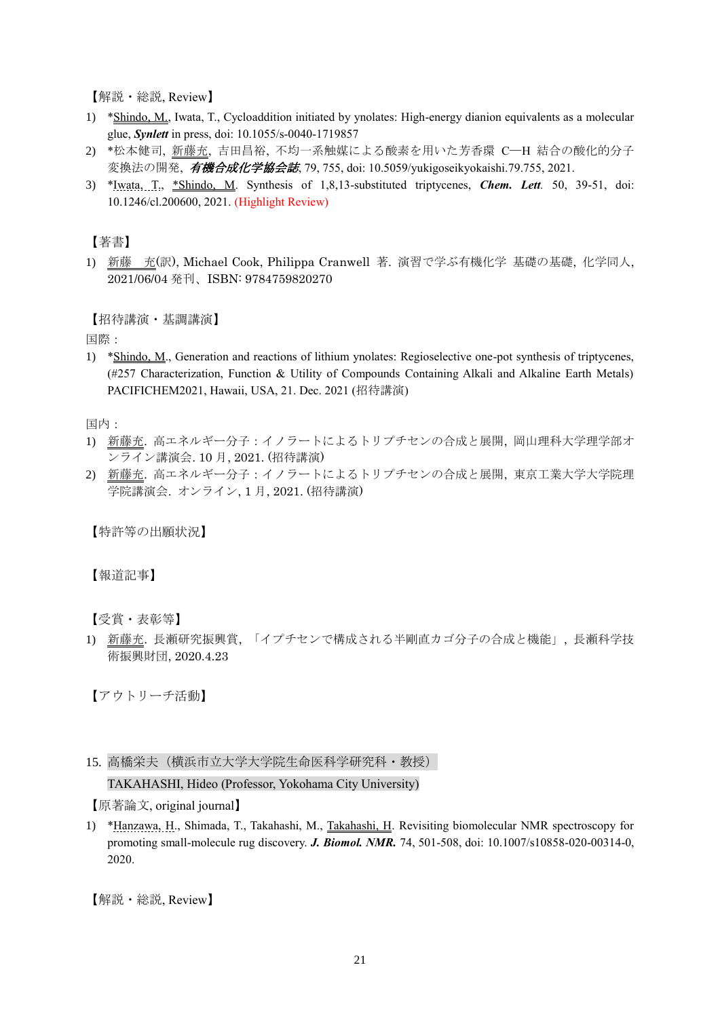【解説・総説, Review】

- 1) \*Shindo, M., Iwata, T., Cycloaddition initiated by ynolates: High-energy dianion equivalents as a molecular glue, *Synlett* in press, doi: 10.1055/s-0040-1719857
- 2) \*松本健司, 新藤充, 吉田昌裕, 不均一系触媒による酸素を用いた芳香環 C─H 結合の酸化的分子 変換法の開発, 有機合成化学協会誌, 79, 755, doi: 10.5059/yukigoseikyokaishi.79.755, 2021.
- 3) \*Iwata, T., \*Shindo, M. Synthesis of 1,8,13-substituted triptycenes, *Chem. Lett.* 50, 39-51, doi: 10.1246/cl.200600, 2021. (Highlight Review)

【著書】

1) 新藤 充(訳), Michael Cook, Philippa Cranwell 著. 演習で学ぶ有機化学 基礎の基礎, 化学同人, 2021/06/04 発刊、ISBN: 9784759820270

【招待講演·基調講演】

国際:

1) \*Shindo, M., Generation and reactions of lithium ynolates: Regioselective one-pot synthesis of triptycenes, (#257 Characterization, Function & Utility of Compounds Containing Alkali and Alkaline Earth Metals) PACIFICHEM2021, Hawaii, USA, 21. Dec. 2021 (招待講演)

国内:

- 1) 新藤充. 高エネルギー分子:イノラートによるトリプチセンの合成と展開, 岡山理科大学理学部オ ンライン講演会. 10 月, 2021. (招待講演)
- 2) 新藤充. 高エネルギー分子:イノラートによるトリプチセンの合成と展開, 東京工業大学大学院理 学院講演会. オンライン, 1 月, 2021. (招待講演)

【特許等の出願状況】

【報道記事】

【受賞・表彰等】

1) 新藤充. 長瀬研究振興賞, 「イプチセンで構成される半剛直カゴ分子の合成と機能」, 長瀬科学技 術振興財団, 2020.4.23

【アウトリーチ活動】

15. 高橋栄夫(横浜市立大学大学院生命医科学研究科・教授)

TAKAHASHI, Hideo (Professor, Yokohama City University)

【原著論文, original journal】

1) \*Hanzawa, H., Shimada, T., Takahashi, M., Takahashi, H. Revisiting biomolecular NMR spectroscopy for promoting small-molecule rug discovery. *J. Biomol. NMR.* 74, 501-508, doi: 10.1007/s10858-020-00314-0, 2020.

【解説・総説, Review】